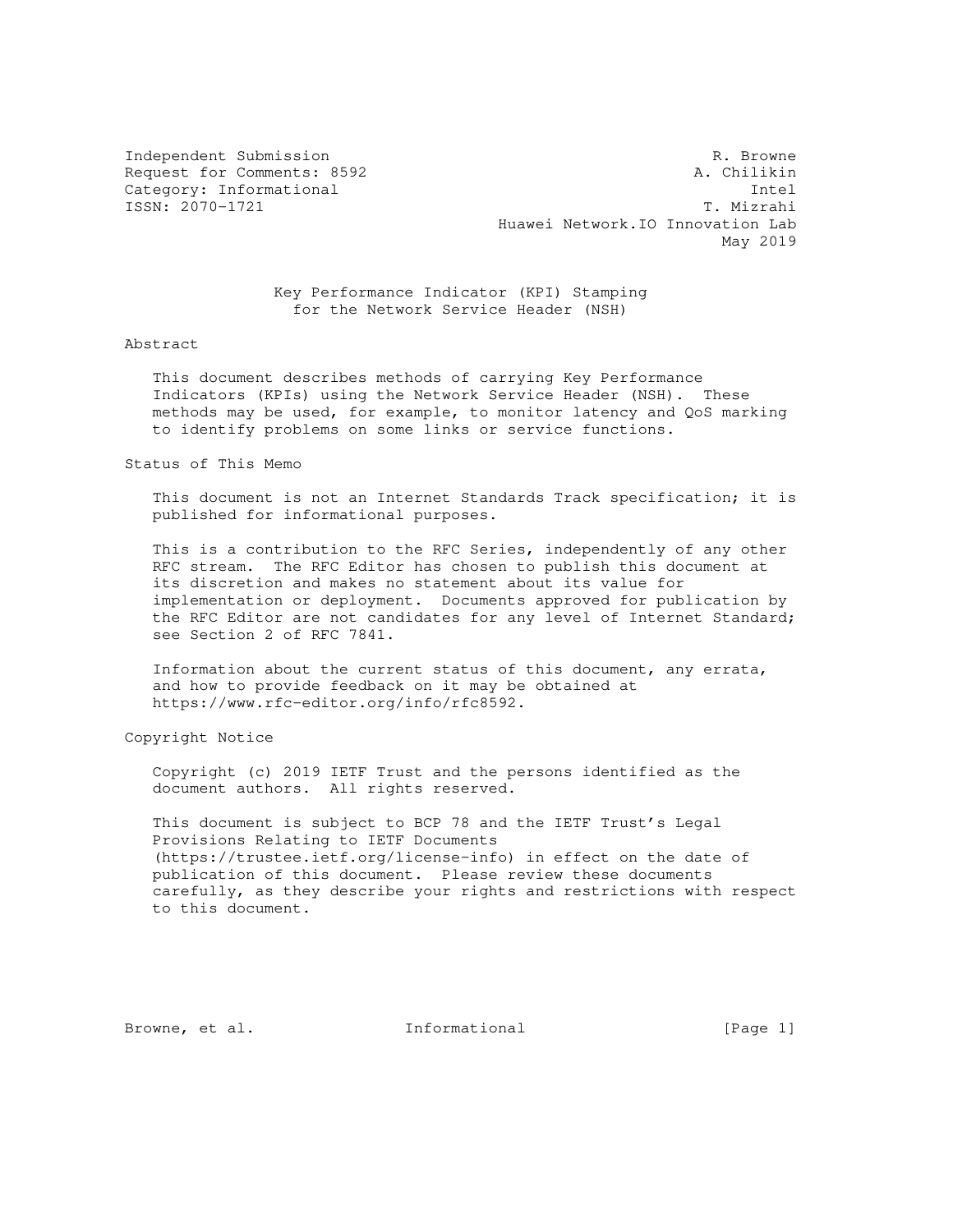$ISSN: 2070-1721$ 

Independent Submission **R. Browne** Request for Comments: 8592 A. Chilikin Category: Informational Intel<br>
ISSN: 2070-1721 T. Mizrahi Huawei Network.IO Innovation Lab May 2019

> Key Performance Indicator (KPI) Stamping for the Network Service Header (NSH)

Abstract

 This document describes methods of carrying Key Performance Indicators (KPIs) using the Network Service Header (NSH). These methods may be used, for example, to monitor latency and QoS marking to identify problems on some links or service functions.

### Status of This Memo

 This document is not an Internet Standards Track specification; it is published for informational purposes.

 This is a contribution to the RFC Series, independently of any other RFC stream. The RFC Editor has chosen to publish this document at its discretion and makes no statement about its value for implementation or deployment. Documents approved for publication by the RFC Editor are not candidates for any level of Internet Standard; see Section 2 of RFC 7841.

 Information about the current status of this document, any errata, and how to provide feedback on it may be obtained at https://www.rfc-editor.org/info/rfc8592.

Copyright Notice

 Copyright (c) 2019 IETF Trust and the persons identified as the document authors. All rights reserved.

 This document is subject to BCP 78 and the IETF Trust's Legal Provisions Relating to IETF Documents (https://trustee.ietf.org/license-info) in effect on the date of publication of this document. Please review these documents carefully, as they describe your rights and restrictions with respect to this document.

Browne, et al.  $I_n$  Informational [Page 1]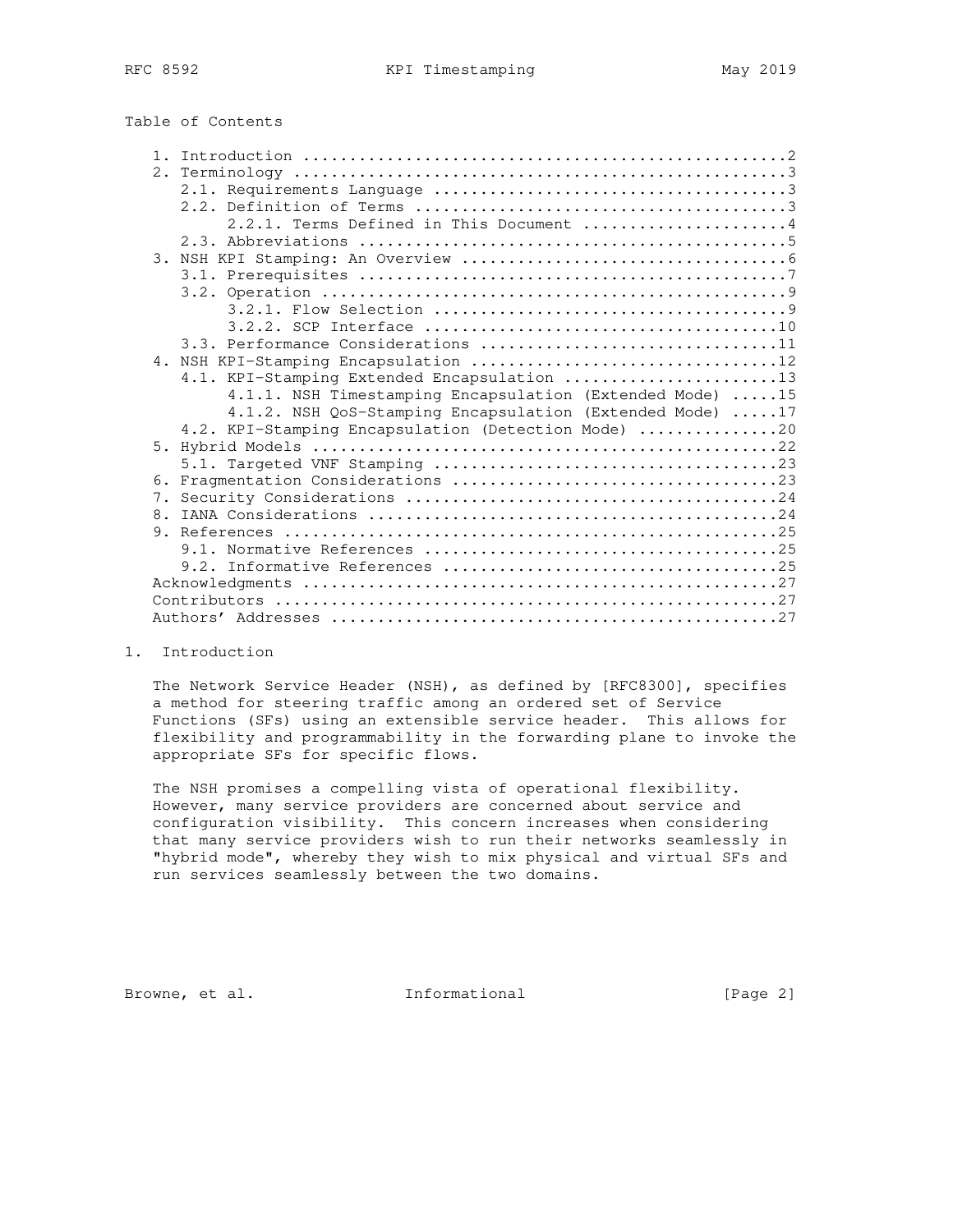# Table of Contents

| $1$ . |                                                          |
|-------|----------------------------------------------------------|
|       |                                                          |
|       |                                                          |
|       |                                                          |
|       | 2.2.1. Terms Defined in This Document 4                  |
|       |                                                          |
|       |                                                          |
|       |                                                          |
|       |                                                          |
|       |                                                          |
|       |                                                          |
|       | 3.3. Performance Considerations 11                       |
|       |                                                          |
|       | 4.1. KPI-Stamping Extended Encapsulation 13              |
|       | 4.1.1. NSH Timestamping Encapsulation (Extended Mode) 15 |
|       | 4.1.2. NSH QoS-Stamping Encapsulation (Extended Mode) 17 |
|       | 4.2. KPI-Stamping Encapsulation (Detection Mode) 20      |
|       |                                                          |
|       |                                                          |
|       |                                                          |
|       |                                                          |
| 8.    |                                                          |
|       |                                                          |
|       |                                                          |
|       |                                                          |
|       |                                                          |
|       |                                                          |
|       |                                                          |
|       |                                                          |

### 1. Introduction

 The Network Service Header (NSH), as defined by [RFC8300], specifies a method for steering traffic among an ordered set of Service Functions (SFs) using an extensible service header. This allows for flexibility and programmability in the forwarding plane to invoke the appropriate SFs for specific flows.

 The NSH promises a compelling vista of operational flexibility. However, many service providers are concerned about service and configuration visibility. This concern increases when considering that many service providers wish to run their networks seamlessly in "hybrid mode", whereby they wish to mix physical and virtual SFs and run services seamlessly between the two domains.

Browne, et al. 1nformational [Page 2]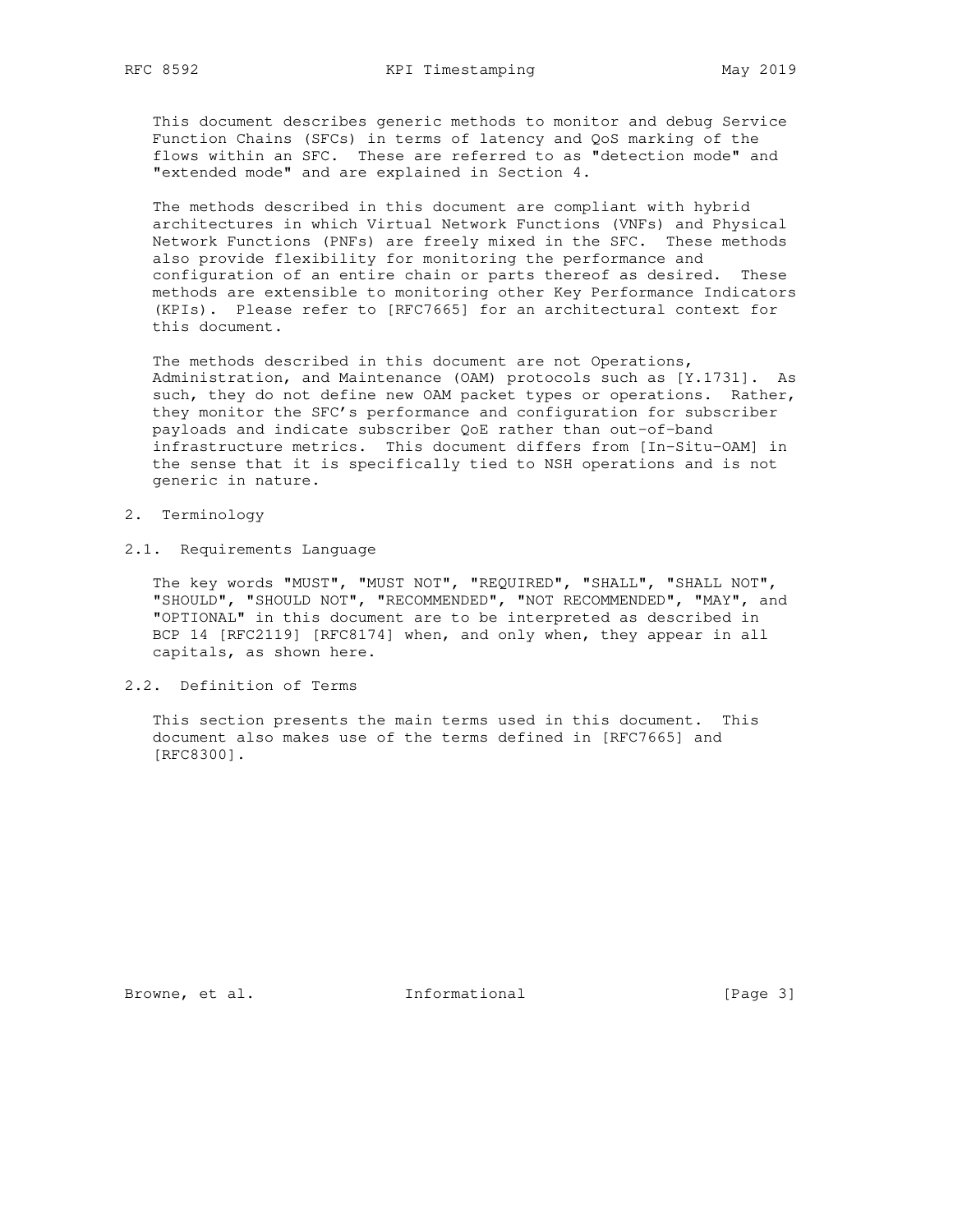This document describes generic methods to monitor and debug Service Function Chains (SFCs) in terms of latency and QoS marking of the flows within an SFC. These are referred to as "detection mode" and "extended mode" and are explained in Section 4.

 The methods described in this document are compliant with hybrid architectures in which Virtual Network Functions (VNFs) and Physical Network Functions (PNFs) are freely mixed in the SFC. These methods also provide flexibility for monitoring the performance and configuration of an entire chain or parts thereof as desired. These methods are extensible to monitoring other Key Performance Indicators (KPIs). Please refer to [RFC7665] for an architectural context for this document.

 The methods described in this document are not Operations, Administration, and Maintenance (OAM) protocols such as [Y.1731]. As such, they do not define new OAM packet types or operations. Rather, they monitor the SFC's performance and configuration for subscriber payloads and indicate subscriber QoE rather than out-of-band infrastructure metrics. This document differs from [In-Situ-OAM] in the sense that it is specifically tied to NSH operations and is not generic in nature.

- 2. Terminology
- 2.1. Requirements Language

 The key words "MUST", "MUST NOT", "REQUIRED", "SHALL", "SHALL NOT", "SHOULD", "SHOULD NOT", "RECOMMENDED", "NOT RECOMMENDED", "MAY", and "OPTIONAL" in this document are to be interpreted as described in BCP 14 [RFC2119] [RFC8174] when, and only when, they appear in all capitals, as shown here.

2.2. Definition of Terms

 This section presents the main terms used in this document. This document also makes use of the terms defined in [RFC7665] and [RFC8300].

Browne, et al. 1nformational [Page 3]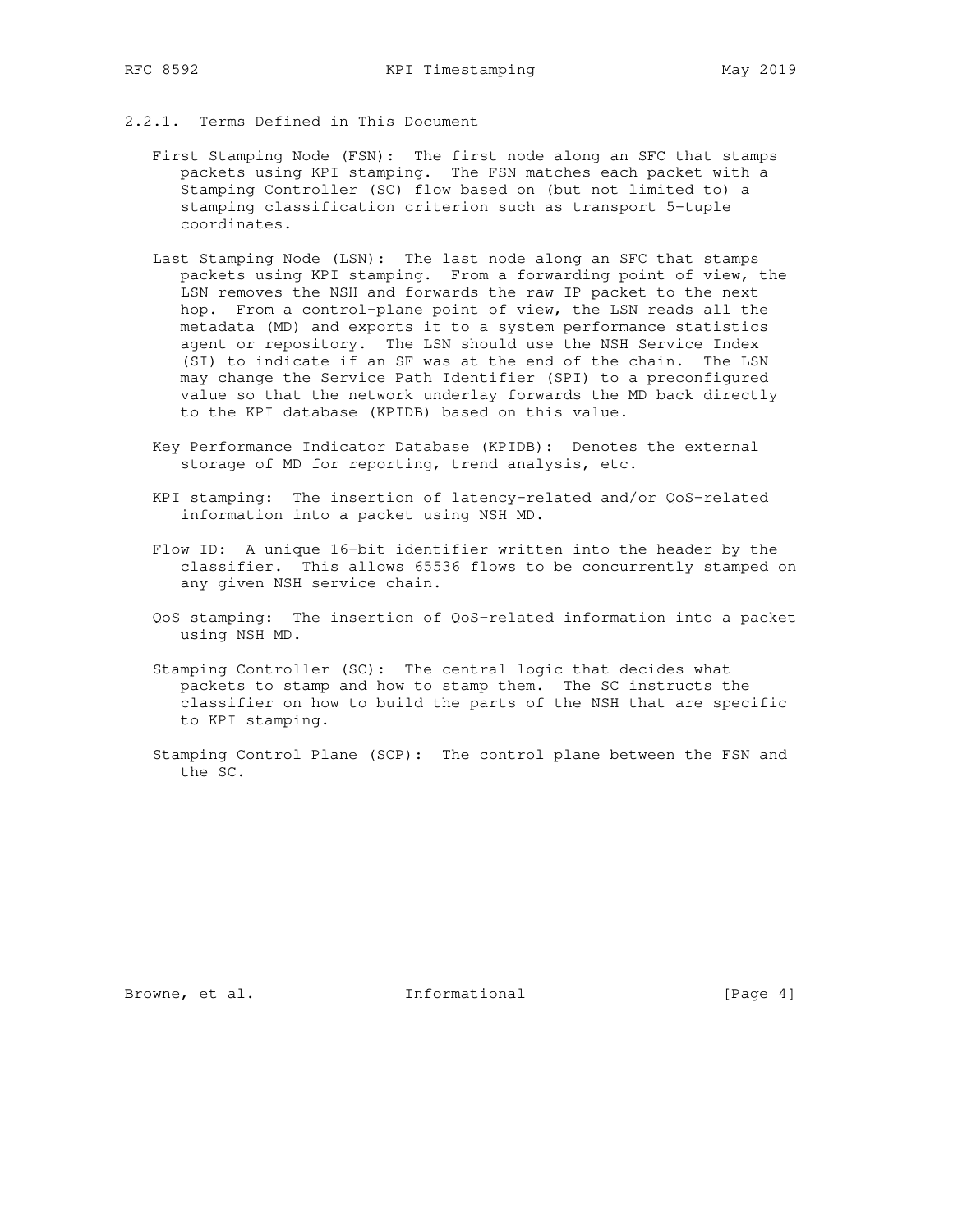- 2.2.1. Terms Defined in This Document
	- First Stamping Node (FSN): The first node along an SFC that stamps packets using KPI stamping. The FSN matches each packet with a Stamping Controller (SC) flow based on (but not limited to) a stamping classification criterion such as transport 5-tuple coordinates.
	- Last Stamping Node (LSN): The last node along an SFC that stamps packets using KPI stamping. From a forwarding point of view, the LSN removes the NSH and forwards the raw IP packet to the next hop. From a control-plane point of view, the LSN reads all the metadata (MD) and exports it to a system performance statistics agent or repository. The LSN should use the NSH Service Index (SI) to indicate if an SF was at the end of the chain. The LSN may change the Service Path Identifier (SPI) to a preconfigured value so that the network underlay forwards the MD back directly to the KPI database (KPIDB) based on this value.
	- Key Performance Indicator Database (KPIDB): Denotes the external storage of MD for reporting, trend analysis, etc.
	- KPI stamping: The insertion of latency-related and/or QoS-related information into a packet using NSH MD.
	- Flow ID: A unique 16-bit identifier written into the header by the classifier. This allows 65536 flows to be concurrently stamped on any given NSH service chain.
	- QoS stamping: The insertion of QoS-related information into a packet using NSH MD.
	- Stamping Controller (SC): The central logic that decides what packets to stamp and how to stamp them. The SC instructs the classifier on how to build the parts of the NSH that are specific to KPI stamping.
	- Stamping Control Plane (SCP): The control plane between the FSN and the SC.

Browne, et al. 1nformational [Page 4]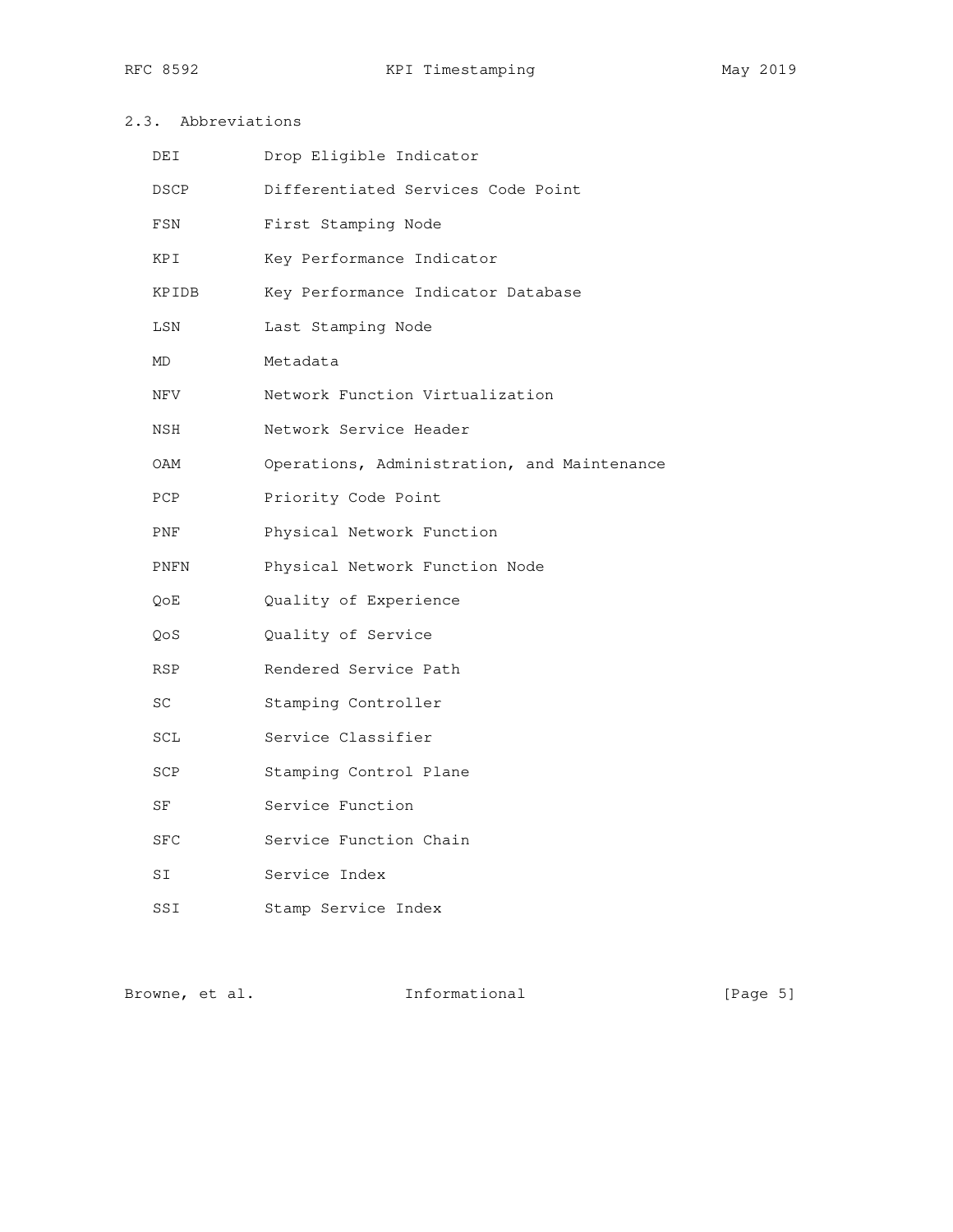# 2.3. Abbreviations

| DEI   | Drop Eligible Indicator                     |
|-------|---------------------------------------------|
| DSCP  | Differentiated Services Code Point          |
| FSN   | First Stamping Node                         |
| KPI   | Key Performance Indicator                   |
| KPIDB | Key Performance Indicator Database          |
| LSN   | Last Stamping Node                          |
| MD    | Metadata                                    |
| NFV   | Network Function Virtualization             |
| NSH   | Network Service Header                      |
| OAM   | Operations, Administration, and Maintenance |
| PCP   | Priority Code Point                         |
| PNF   | Physical Network Function                   |
| PNFN  | Physical Network Function Node              |
| QoE   | Quality of Experience                       |
| QoS   | Quality of Service                          |
| RSP   | Rendered Service Path                       |
| SC    | Stamping Controller                         |
| SCL   | Service Classifier                          |
| SCP   | Stamping Control Plane                      |
| SF    | Service Function                            |
| SFC   | Service Function Chain                      |
| SΙ    | Service Index                               |
| SSI   | Stamp Service Index                         |

Browne, et al. 1nformational [Page 5]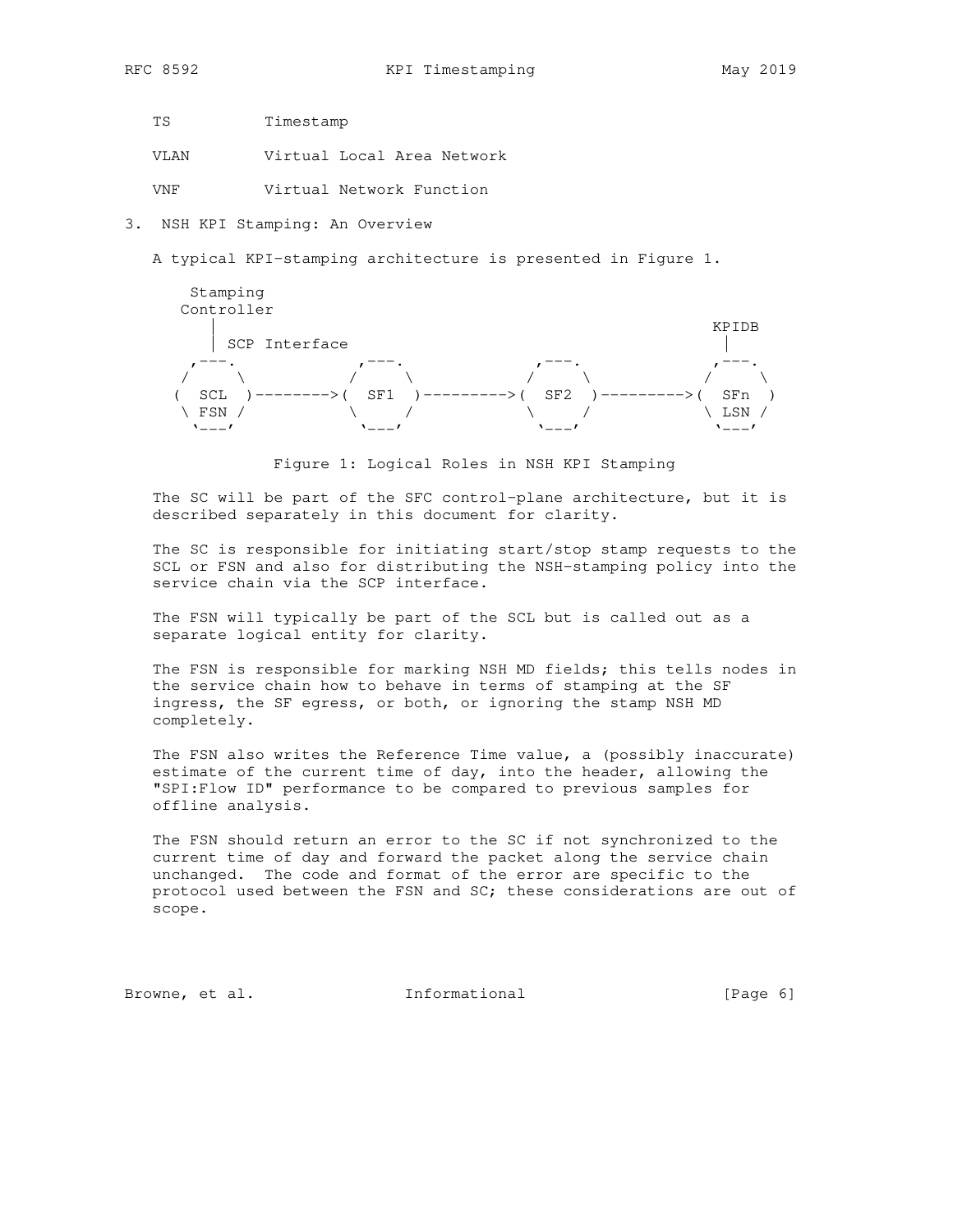TS Timestamp

VLAN Virtual Local Area Network

VNF Virtual Network Function

3. NSH KPI Stamping: An Overview

A typical KPI-stamping architecture is presented in Figure 1.



Figure 1: Logical Roles in NSH KPI Stamping

 The SC will be part of the SFC control-plane architecture, but it is described separately in this document for clarity.

 The SC is responsible for initiating start/stop stamp requests to the SCL or FSN and also for distributing the NSH-stamping policy into the service chain via the SCP interface.

 The FSN will typically be part of the SCL but is called out as a separate logical entity for clarity.

 The FSN is responsible for marking NSH MD fields; this tells nodes in the service chain how to behave in terms of stamping at the SF ingress, the SF egress, or both, or ignoring the stamp NSH MD completely.

 The FSN also writes the Reference Time value, a (possibly inaccurate) estimate of the current time of day, into the header, allowing the "SPI:Flow ID" performance to be compared to previous samples for offline analysis.

 The FSN should return an error to the SC if not synchronized to the current time of day and forward the packet along the service chain unchanged. The code and format of the error are specific to the protocol used between the FSN and SC; these considerations are out of scope.

Browne, et al. 1nformational 1999 [Page 6]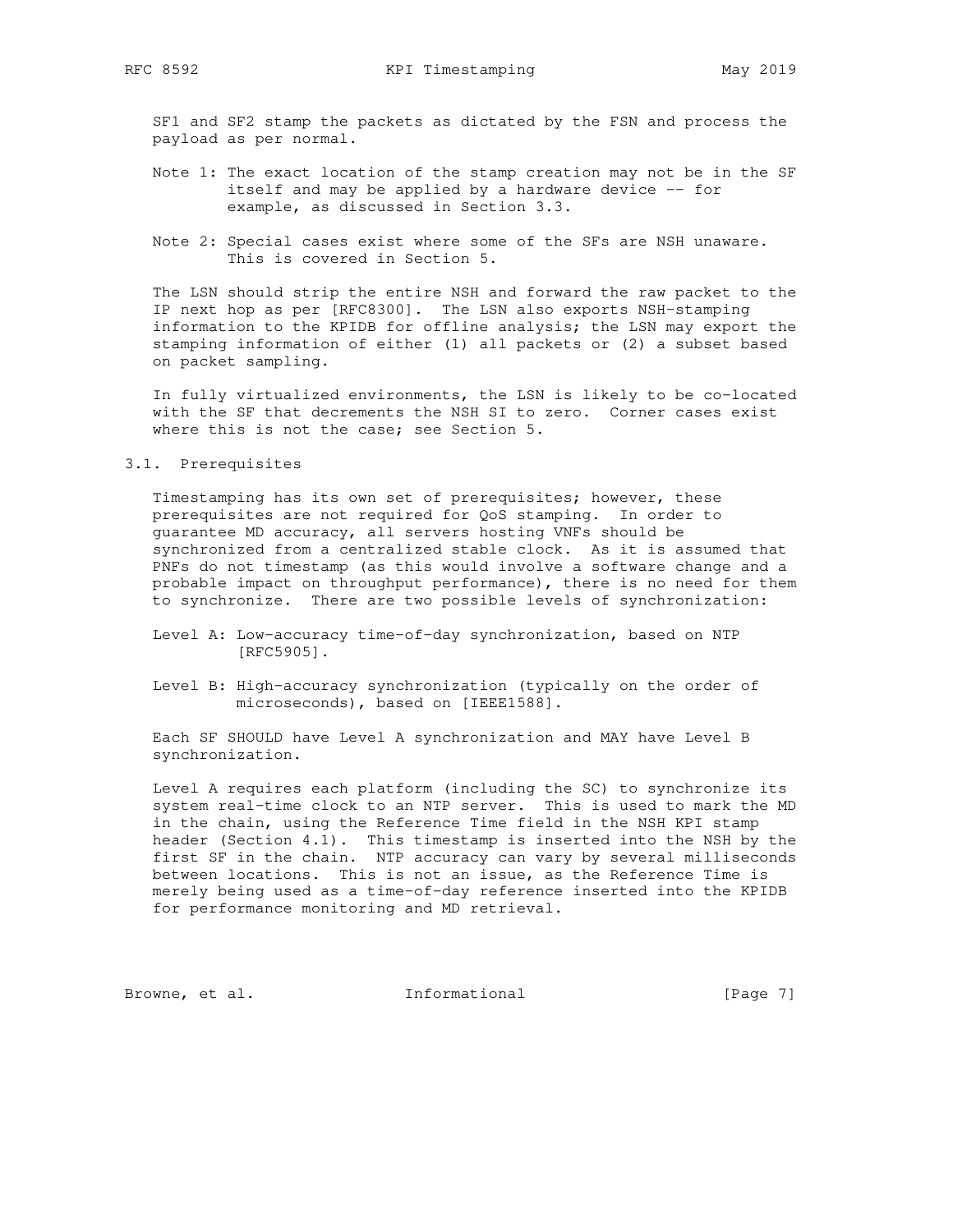SF1 and SF2 stamp the packets as dictated by the FSN and process the payload as per normal.

- Note 1: The exact location of the stamp creation may not be in the SF itself and may be applied by a hardware device -- for example, as discussed in Section 3.3.
- Note 2: Special cases exist where some of the SFs are NSH unaware. This is covered in Section 5.

 The LSN should strip the entire NSH and forward the raw packet to the IP next hop as per [RFC8300]. The LSN also exports NSH-stamping information to the KPIDB for offline analysis; the LSN may export the stamping information of either (1) all packets or (2) a subset based on packet sampling.

 In fully virtualized environments, the LSN is likely to be co-located with the SF that decrements the NSH SI to zero. Corner cases exist where this is not the case; see Section 5.

## 3.1. Prerequisites

 Timestamping has its own set of prerequisites; however, these prerequisites are not required for QoS stamping. In order to guarantee MD accuracy, all servers hosting VNFs should be synchronized from a centralized stable clock. As it is assumed that PNFs do not timestamp (as this would involve a software change and a probable impact on throughput performance), there is no need for them to synchronize. There are two possible levels of synchronization:

- Level A: Low-accuracy time-of-day synchronization, based on NTP [RFC5905].
- Level B: High-accuracy synchronization (typically on the order of microseconds), based on [IEEE1588].

 Each SF SHOULD have Level A synchronization and MAY have Level B synchronization.

 Level A requires each platform (including the SC) to synchronize its system real-time clock to an NTP server. This is used to mark the MD in the chain, using the Reference Time field in the NSH KPI stamp header (Section 4.1). This timestamp is inserted into the NSH by the first SF in the chain. NTP accuracy can vary by several milliseconds between locations. This is not an issue, as the Reference Time is merely being used as a time-of-day reference inserted into the KPIDB for performance monitoring and MD retrieval.

Browne, et al. 1nformational 1999 [Page 7]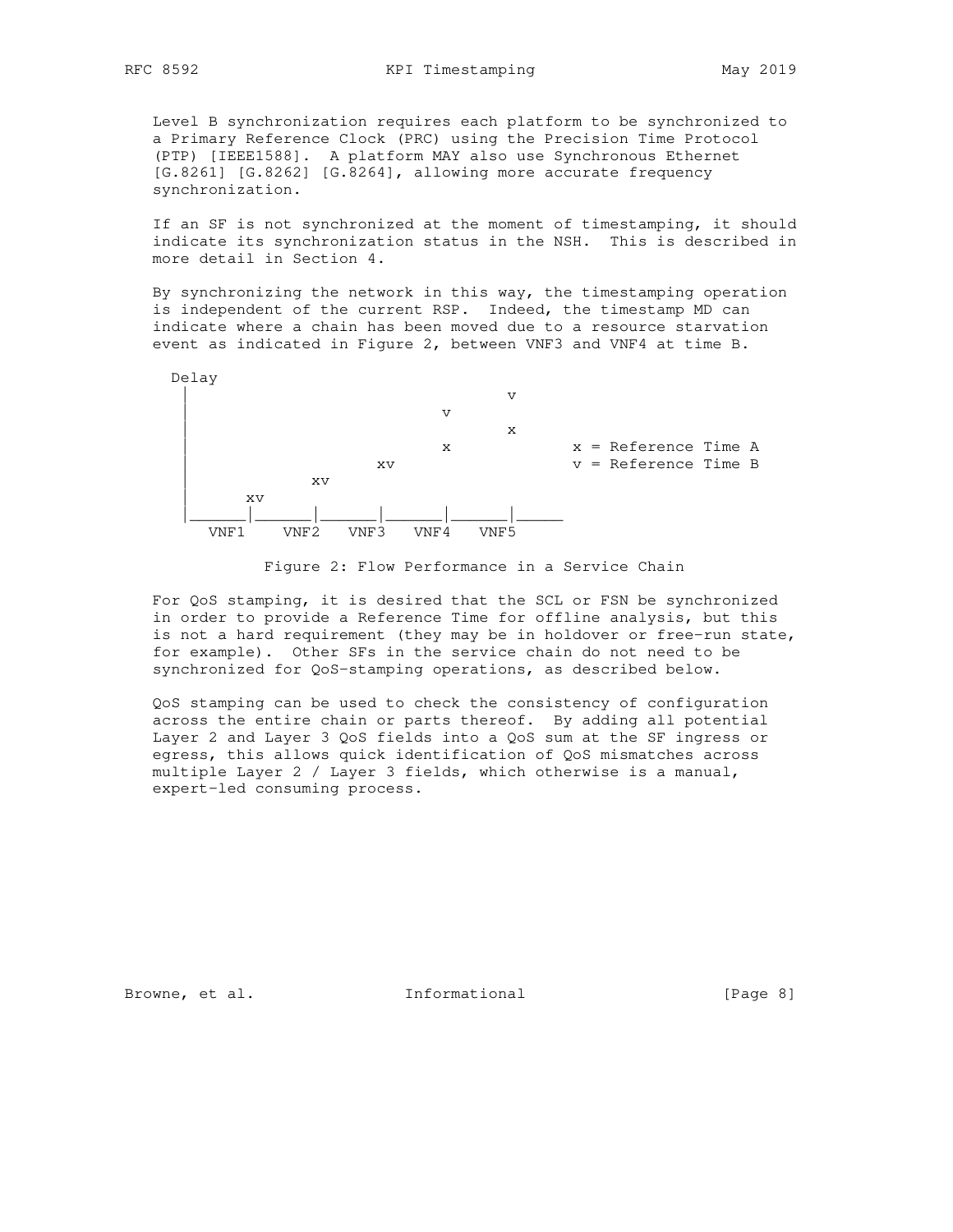Level B synchronization requires each platform to be synchronized to a Primary Reference Clock (PRC) using the Precision Time Protocol (PTP) [IEEE1588]. A platform MAY also use Synchronous Ethernet [G.8261] [G.8262] [G.8264], allowing more accurate frequency synchronization.

 If an SF is not synchronized at the moment of timestamping, it should indicate its synchronization status in the NSH. This is described in more detail in Section 4.

 By synchronizing the network in this way, the timestamping operation is independent of the current RSP. Indeed, the timestamp MD can indicate where a chain has been moved due to a resource starvation event as indicated in Figure 2, between VNF3 and VNF4 at time B.



Figure 2: Flow Performance in a Service Chain

 For QoS stamping, it is desired that the SCL or FSN be synchronized in order to provide a Reference Time for offline analysis, but this is not a hard requirement (they may be in holdover or free-run state, for example). Other SFs in the service chain do not need to be synchronized for QoS-stamping operations, as described below.

 QoS stamping can be used to check the consistency of configuration across the entire chain or parts thereof. By adding all potential Layer 2 and Layer 3 QoS fields into a QoS sum at the SF ingress or egress, this allows quick identification of QoS mismatches across multiple Layer 2 / Layer 3 fields, which otherwise is a manual, expert-led consuming process.

Browne, et al. 1nformational 1999 [Page 8]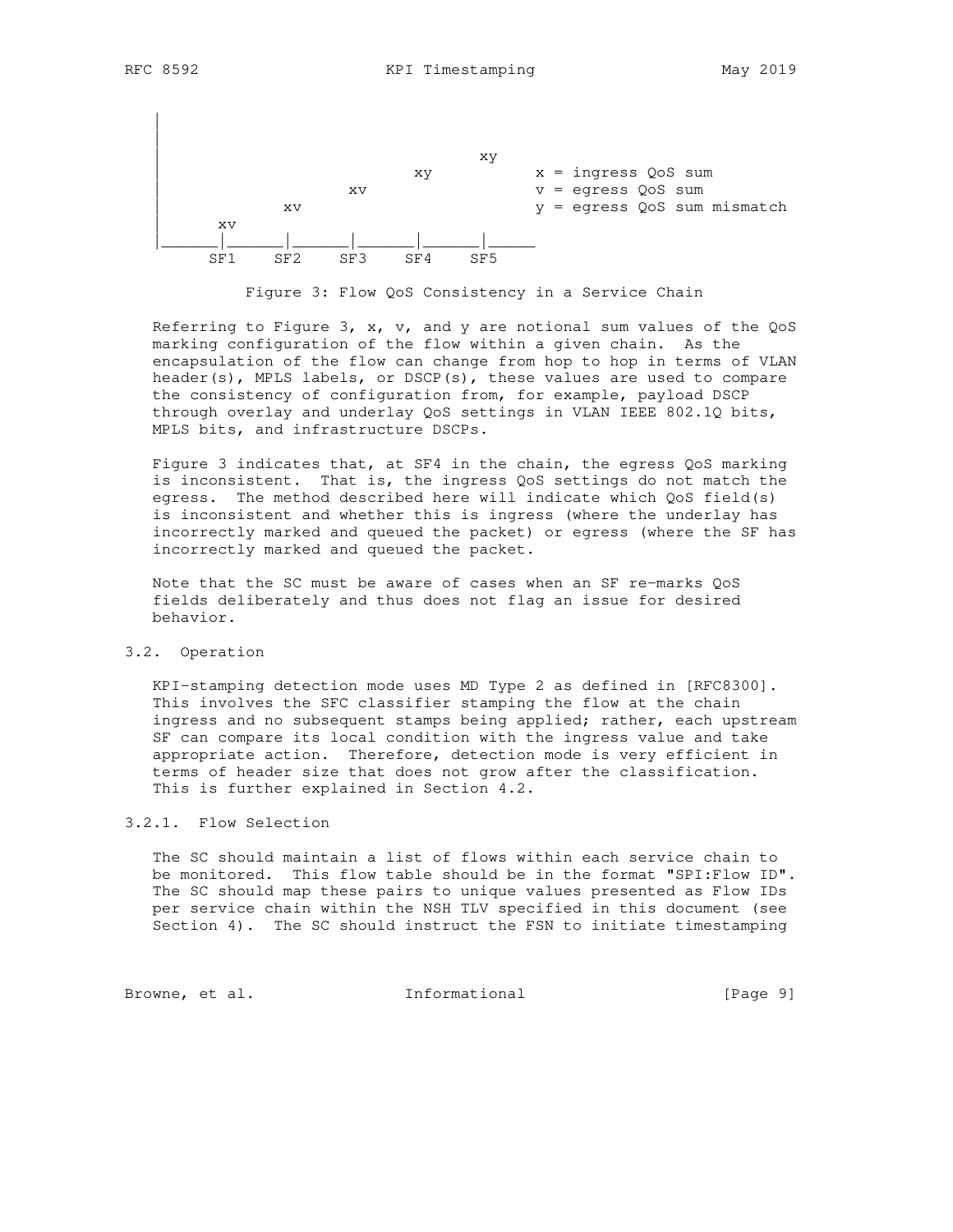



Referring to Figure 3,  $x$ ,  $v$ , and  $y$  are notional sum values of the QoS marking configuration of the flow within a given chain. As the encapsulation of the flow can change from hop to hop in terms of VLAN header(s), MPLS labels, or DSCP(s), these values are used to compare the consistency of configuration from, for example, payload DSCP through overlay and underlay QoS settings in VLAN IEEE 802.1Q bits, MPLS bits, and infrastructure DSCPs.

 Figure 3 indicates that, at SF4 in the chain, the egress QoS marking is inconsistent. That is, the ingress QoS settings do not match the egress. The method described here will indicate which QoS field(s) is inconsistent and whether this is ingress (where the underlay has incorrectly marked and queued the packet) or egress (where the SF has incorrectly marked and queued the packet.

 Note that the SC must be aware of cases when an SF re-marks QoS fields deliberately and thus does not flag an issue for desired behavior.

## 3.2. Operation

 KPI-stamping detection mode uses MD Type 2 as defined in [RFC8300]. This involves the SFC classifier stamping the flow at the chain ingress and no subsequent stamps being applied; rather, each upstream SF can compare its local condition with the ingress value and take appropriate action. Therefore, detection mode is very efficient in terms of header size that does not grow after the classification. This is further explained in Section 4.2.

## 3.2.1. Flow Selection

 The SC should maintain a list of flows within each service chain to be monitored. This flow table should be in the format "SPI:Flow ID". The SC should map these pairs to unique values presented as Flow IDs per service chain within the NSH TLV specified in this document (see Section 4). The SC should instruct the FSN to initiate timestamping

Browne, et al. 1nformational 1999 [Page 9]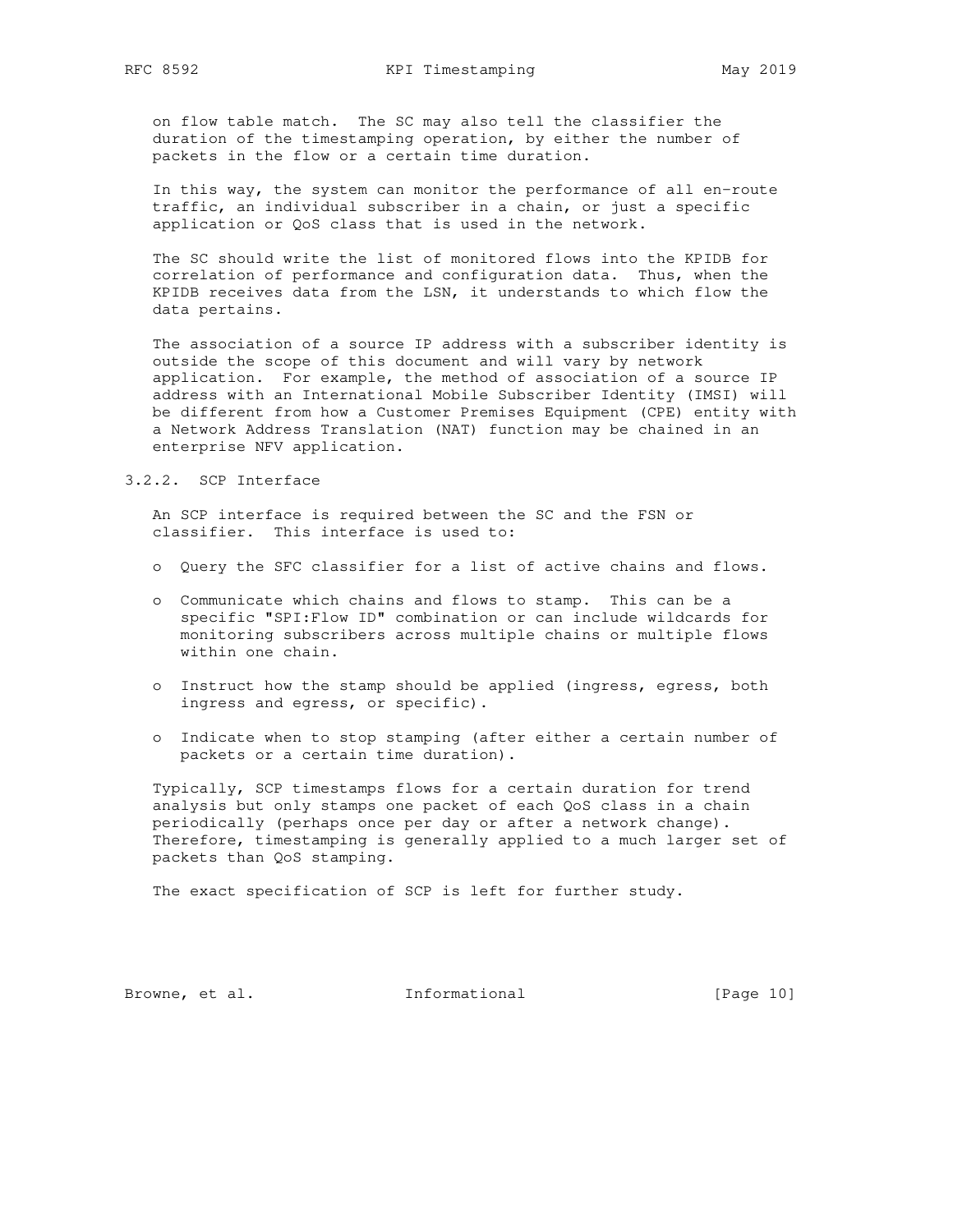on flow table match. The SC may also tell the classifier the duration of the timestamping operation, by either the number of packets in the flow or a certain time duration.

 In this way, the system can monitor the performance of all en-route traffic, an individual subscriber in a chain, or just a specific application or QoS class that is used in the network.

 The SC should write the list of monitored flows into the KPIDB for correlation of performance and configuration data. Thus, when the KPIDB receives data from the LSN, it understands to which flow the data pertains.

 The association of a source IP address with a subscriber identity is outside the scope of this document and will vary by network application. For example, the method of association of a source IP address with an International Mobile Subscriber Identity (IMSI) will be different from how a Customer Premises Equipment (CPE) entity with a Network Address Translation (NAT) function may be chained in an enterprise NFV application.

## 3.2.2. SCP Interface

 An SCP interface is required between the SC and the FSN or classifier. This interface is used to:

- o Query the SFC classifier for a list of active chains and flows.
- o Communicate which chains and flows to stamp. This can be a specific "SPI:Flow ID" combination or can include wildcards for monitoring subscribers across multiple chains or multiple flows within one chain.
- o Instruct how the stamp should be applied (ingress, egress, both ingress and egress, or specific).
- o Indicate when to stop stamping (after either a certain number of packets or a certain time duration).

 Typically, SCP timestamps flows for a certain duration for trend analysis but only stamps one packet of each QoS class in a chain periodically (perhaps once per day or after a network change). Therefore, timestamping is generally applied to a much larger set of packets than QoS stamping.

The exact specification of SCP is left for further study.

Browne, et al. 1nformational 1999 [Page 10]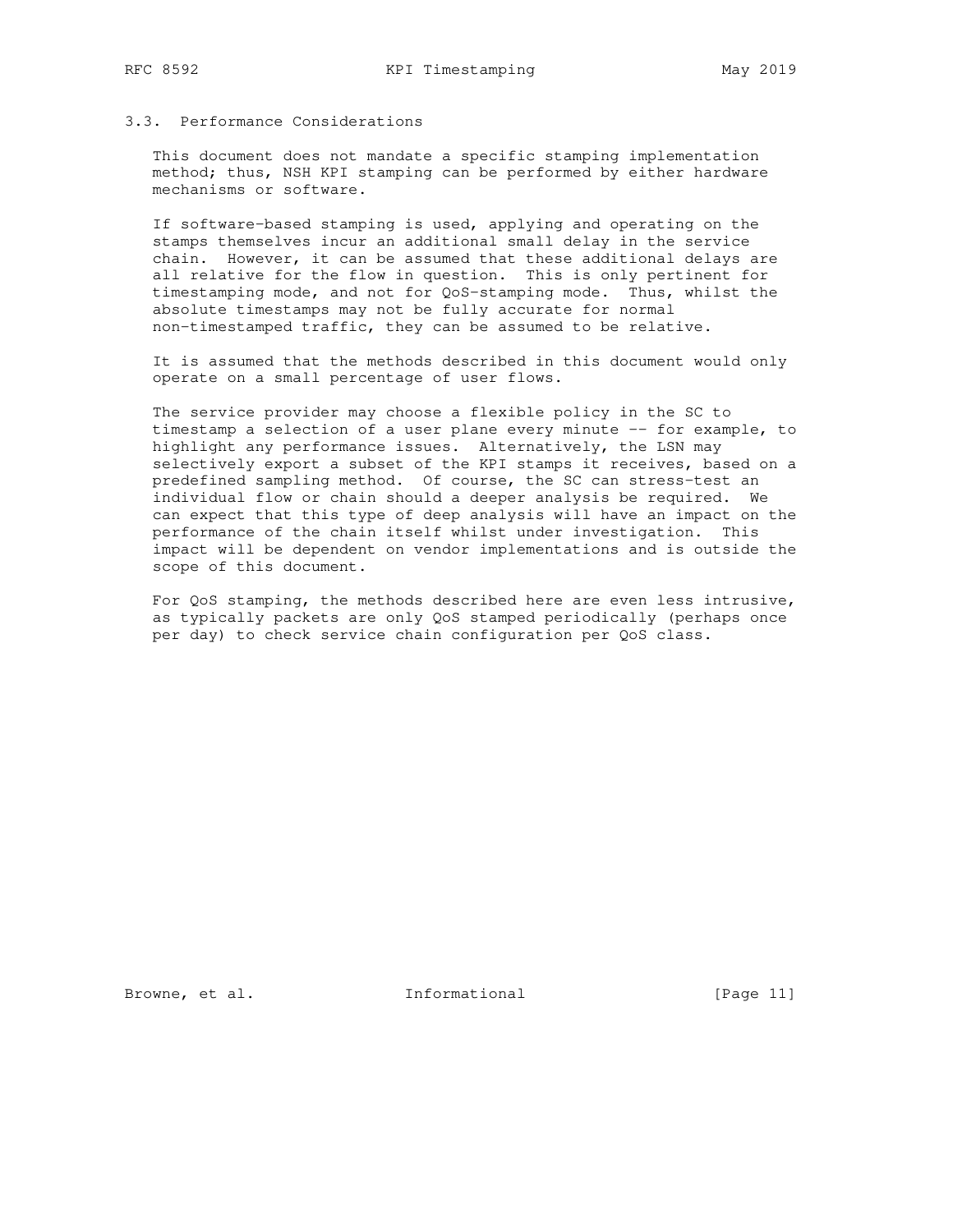## 3.3. Performance Considerations

 This document does not mandate a specific stamping implementation method; thus, NSH KPI stamping can be performed by either hardware mechanisms or software.

 If software-based stamping is used, applying and operating on the stamps themselves incur an additional small delay in the service chain. However, it can be assumed that these additional delays are all relative for the flow in question. This is only pertinent for timestamping mode, and not for QoS-stamping mode. Thus, whilst the absolute timestamps may not be fully accurate for normal non-timestamped traffic, they can be assumed to be relative.

 It is assumed that the methods described in this document would only operate on a small percentage of user flows.

 The service provider may choose a flexible policy in the SC to timestamp a selection of a user plane every minute -- for example, to highlight any performance issues. Alternatively, the LSN may selectively export a subset of the KPI stamps it receives, based on a predefined sampling method. Of course, the SC can stress-test an individual flow or chain should a deeper analysis be required. We can expect that this type of deep analysis will have an impact on the performance of the chain itself whilst under investigation. This impact will be dependent on vendor implementations and is outside the scope of this document.

 For QoS stamping, the methods described here are even less intrusive, as typically packets are only QoS stamped periodically (perhaps once per day) to check service chain configuration per QoS class.

Browne, et al. 1nformational [Page 11]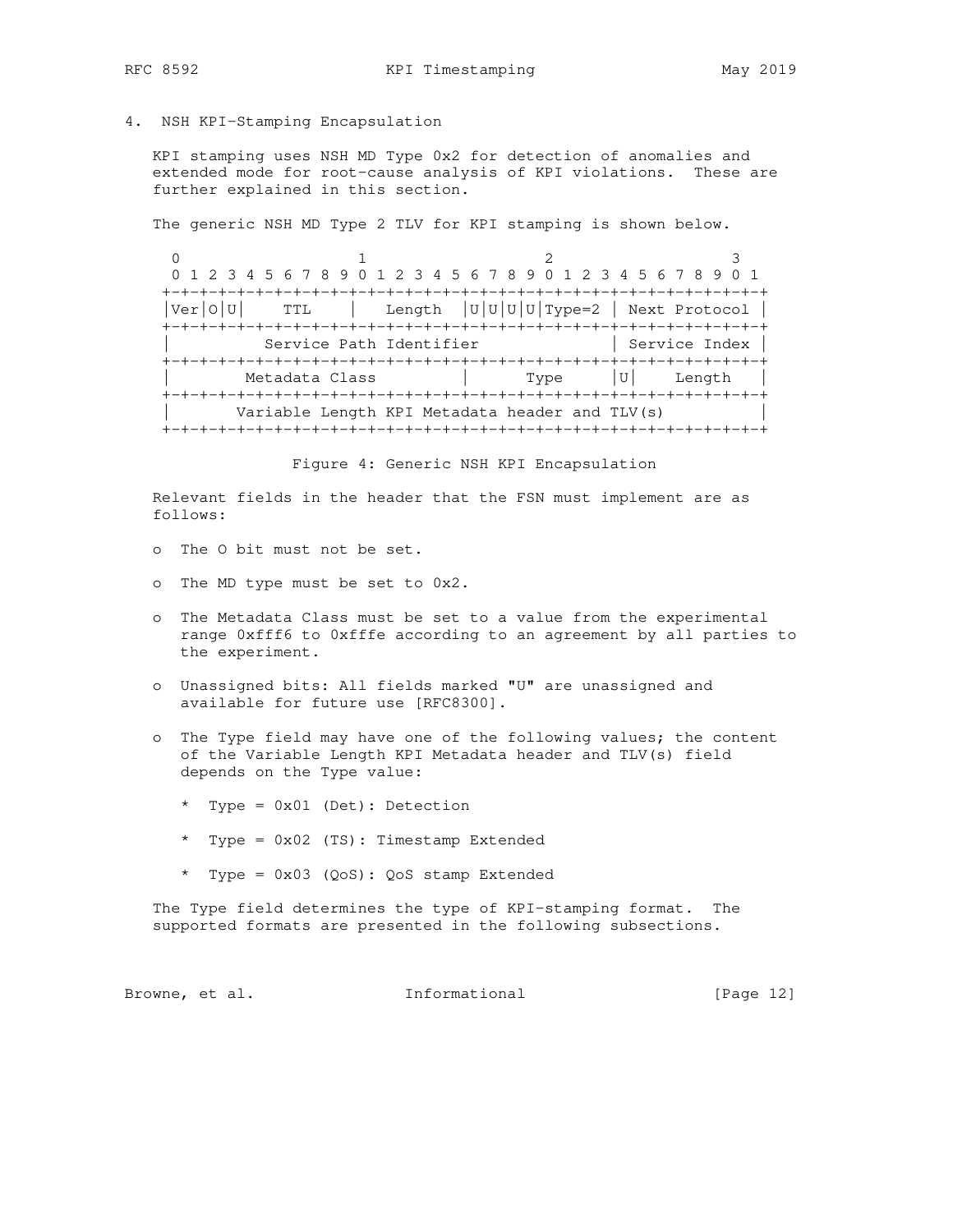4. NSH KPI-Stamping Encapsulation

 KPI stamping uses NSH MD Type 0x2 for detection of anomalies and extended mode for root-cause analysis of KPI violations. These are further explained in this section.

The generic NSH MD Type 2 TLV for KPI stamping is shown below.

 $0$  and  $1$  and  $2$  3 0 1 2 3 4 5 6 7 8 9 0 1 2 3 4 5 6 7 8 9 0 1 2 3 4 5 6 7 8 9 0 1 +-+-+-+-+-+-+-+-+-+-+-+-+-+-+-+-+-+-+-+-+-+-+-+-+-+-+-+-+-+-+-+-+ |Ver|O|U| TTL | Length |U|U|U|U|Type=2 | Next Protocol | +-+-+-+-+-+-+-+-+-+-+-+-+-+-+-+-+-+-+-+-+-+-+-+-+-+-+-+-+-+-+-+-+ Service Path Identifier +-+-+-+-+-+-+-+-+-+-+-+-+-+-+-+-+-+-+-+-+-+-+-+-+-+-+-+-+-+-+-+-+ Metadata Class  $|$  Type  $|U|$  Length +-+-+-+-+-+-+-+-+-+-+-+-+-+-+-+-+-+-+-+-+-+-+-+-+-+-+-+-+-+-+-+-+ Variable Length KPI Metadata header and TLV(s) +-+-+-+-+-+-+-+-+-+-+-+-+-+-+-+-+-+-+-+-+-+-+-+-+-+-+-+-+-+-+-+-+

Figure 4: Generic NSH KPI Encapsulation

 Relevant fields in the header that the FSN must implement are as follows:

- o The O bit must not be set.
- o The MD type must be set to 0x2.
- o The Metadata Class must be set to a value from the experimental range 0xfff6 to 0xfffe according to an agreement by all parties to the experiment.
- o Unassigned bits: All fields marked "U" are unassigned and available for future use [RFC8300].
- o The Type field may have one of the following values; the content of the Variable Length KPI Metadata header and TLV(s) field depends on the Type value:
	- \* Type = 0x01 (Det): Detection
	- \* Type = 0x02 (TS): Timestamp Extended
	- \* Type = 0x03 (QoS): QoS stamp Extended

 The Type field determines the type of KPI-stamping format. The supported formats are presented in the following subsections.

Browne, et al. 1nformational 1999 [Page 12]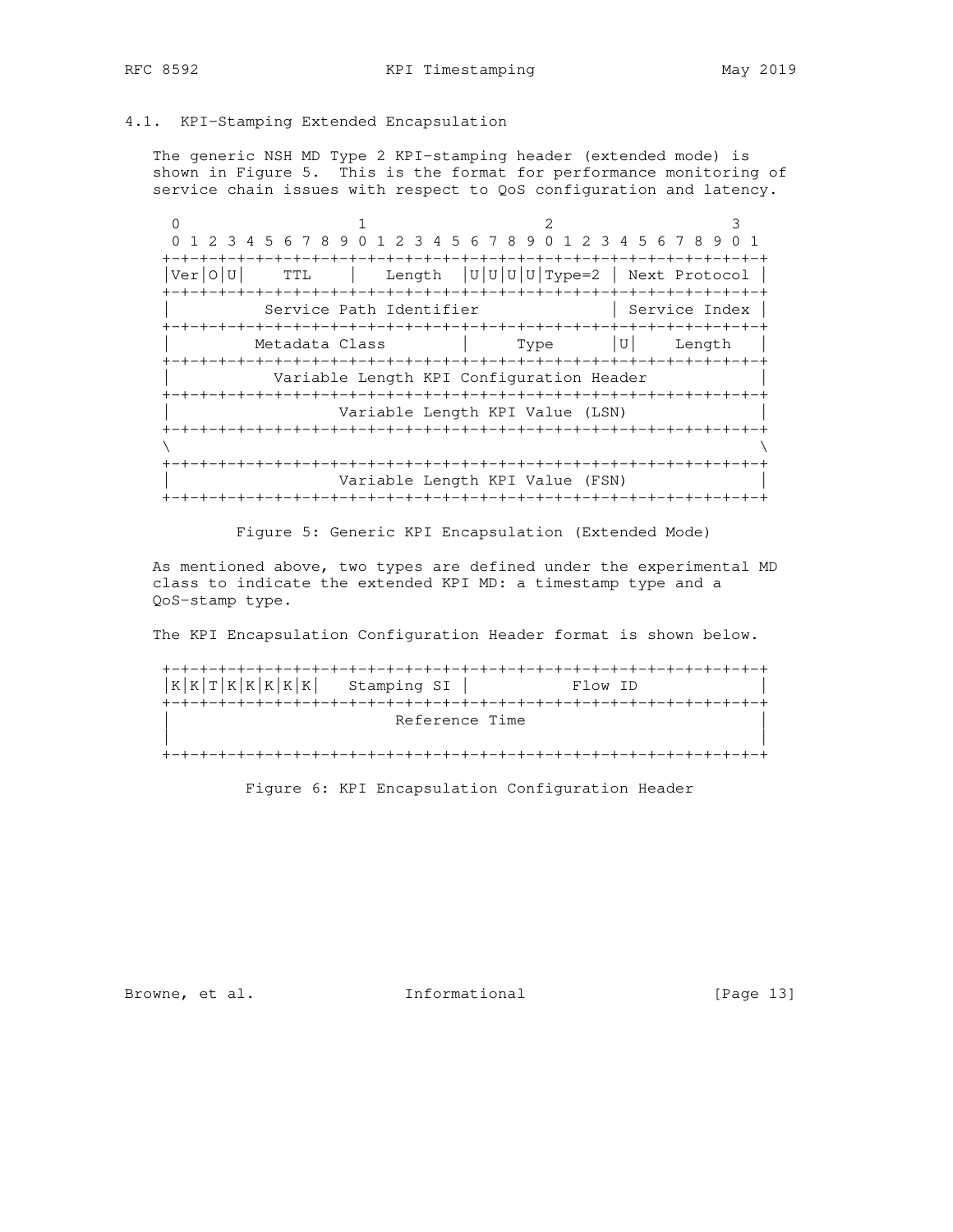# 4.1. KPI-Stamping Extended Encapsulation

 The generic NSH MD Type 2 KPI-stamping header (extended mode) is shown in Figure 5. This is the format for performance monitoring of service chain issues with respect to QoS configuration and latency.

 $0$  1 2 3 0 1 2 3 4 5 6 7 8 9 0 1 2 3 4 5 6 7 8 9 0 1 2 3 4 5 6 7 8 9 0 1 +-+-+-+-+-+-+-+-+-+-+-+-+-+-+-+-+-+-+-+-+-+-+-+-+-+-+-+-+-+-+-+-+ |Ver|O|U| TTL | Length |U|U|U|U|Type=2 | Next Protocol | +-+-+-+-+-+-+-+-+-+-+-+-+-+-+-+-+-+-+-+-+-+-+-+-+-+-+-+-+-+-+-+-+ Service Path Identifier | Service Index | +-+-+-+-+-+-+-+-+-+-+-+-+-+-+-+-+-+-+-+-+-+-+-+-+-+-+-+-+-+-+-+-+ Metadata Class | Type |U| Length +-+-+-+-+-+-+-+-+-+-+-+-+-+-+-+-+-+-+-+-+-+-+-+-+-+-+-+-+-+-+-+-+ Variable Length KPI Configuration Header +-+-+-+-+-+-+-+-+-+-+-+-+-+-+-+-+-+-+-+-+-+-+-+-+-+-+-+-+-+-+-+-+ Variable Length KPI Value (LSN) +-+-+-+-+-+-+-+-+-+-+-+-+-+-+-+-+-+-+-+-+-+-+-+-+-+-+-+-+-+-+-+-+  $\lambda$  and  $\lambda$  and  $\lambda$  and  $\lambda$  and  $\lambda$  and  $\lambda$  and  $\lambda$  and  $\lambda$  and  $\lambda$  and  $\lambda$  and  $\lambda$  and  $\lambda$  and  $\lambda$  and  $\lambda$  and  $\lambda$  and  $\lambda$  and  $\lambda$  and  $\lambda$  and  $\lambda$  and  $\lambda$  and  $\lambda$  and  $\lambda$  and  $\lambda$  and  $\lambda$  and  $\lambda$  +-+-+-+-+-+-+-+-+-+-+-+-+-+-+-+-+-+-+-+-+-+-+-+-+-+-+-+-+-+-+-+-+ Variable Length KPI Value (FSN) +-+-+-+-+-+-+-+-+-+-+-+-+-+-+-+-+-+-+-+-+-+-+-+-+-+-+-+-+-+-+-+-+

Figure 5: Generic KPI Encapsulation (Extended Mode)

 As mentioned above, two types are defined under the experimental MD class to indicate the extended KPI MD: a timestamp type and a QoS-stamp type.

The KPI Encapsulation Configuration Header format is shown below.

 +-+-+-+-+-+-+-+-+-+-+-+-+-+-+-+-+-+-+-+-+-+-+-+-+-+-+-+-+-+-+-+-+  $|K|K|T|K|K|K|K|$  Stamping SI | Flow ID +-+-+-+-+-+-+-+-+-+-+-+-+-+-+-+-+-+-+-+-+-+-+-+-+-+-+-+-+-+-+-+-+ Reference Time | | +-+-+-+-+-+-+-+-+-+-+-+-+-+-+-+-+-+-+-+-+-+-+-+-+-+-+-+-+-+-+-+-+

Figure 6: KPI Encapsulation Configuration Header

Browne, et al. 1nformational [Page 13]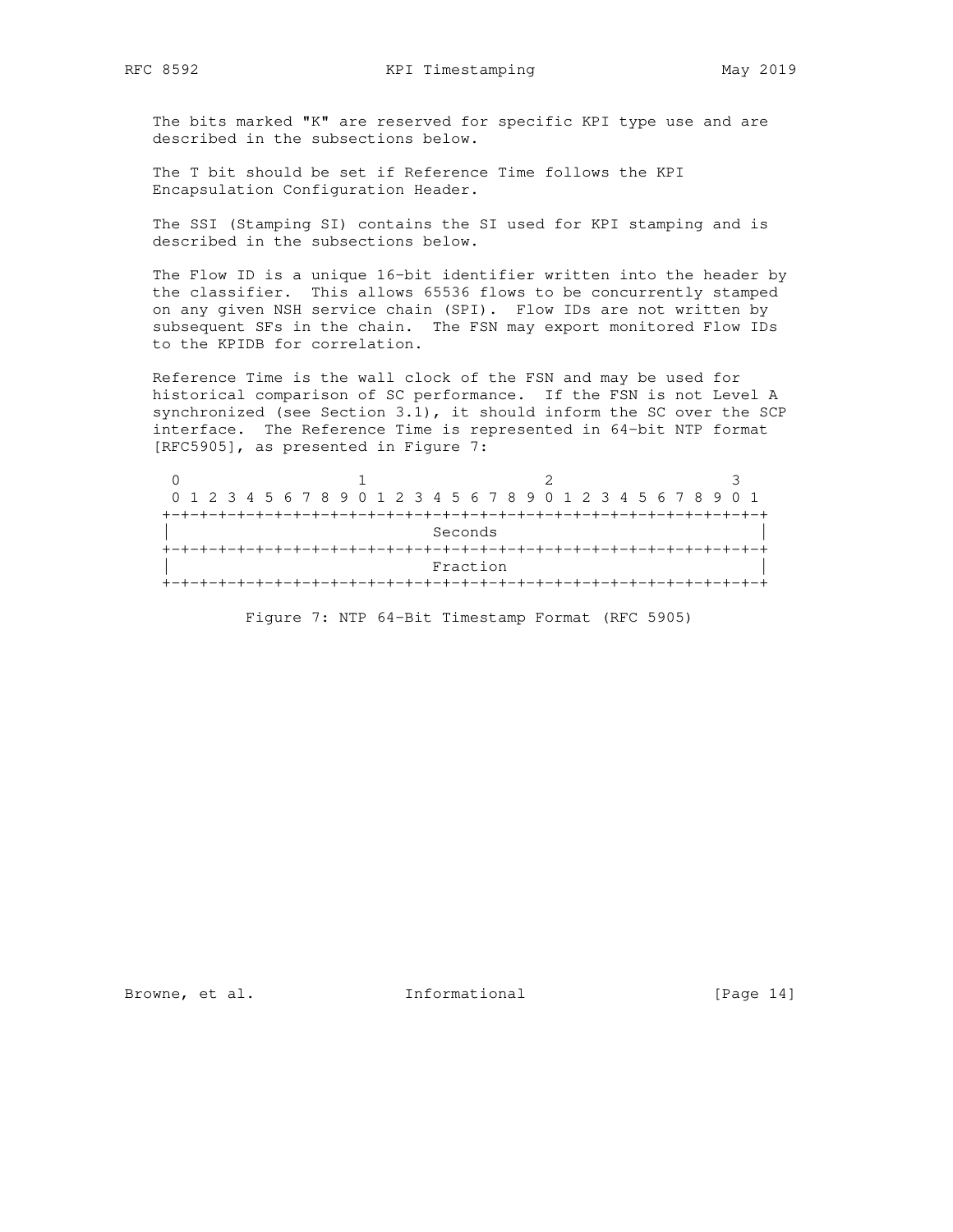The bits marked "K" are reserved for specific KPI type use and are described in the subsections below.

 The T bit should be set if Reference Time follows the KPI Encapsulation Configuration Header.

 The SSI (Stamping SI) contains the SI used for KPI stamping and is described in the subsections below.

 The Flow ID is a unique 16-bit identifier written into the header by the classifier. This allows 65536 flows to be concurrently stamped on any given NSH service chain (SPI). Flow IDs are not written by subsequent SFs in the chain. The FSN may export monitored Flow IDs to the KPIDB for correlation.

 Reference Time is the wall clock of the FSN and may be used for historical comparison of SC performance. If the FSN is not Level A synchronized (see Section 3.1), it should inform the SC over the SCP interface. The Reference Time is represented in 64-bit NTP format [RFC5905], as presented in Figure 7:

|          | 0 1 2 3 4 5 6 7 8 9 0 1 2 3 4 5 6 7 8 9 0 1 2 3 4 5 6 7 8 9 0 1 |  |  |  |  |  |  |  |  |  |  |  |  |  |  |  |  |  |  |  |  |
|----------|-----------------------------------------------------------------|--|--|--|--|--|--|--|--|--|--|--|--|--|--|--|--|--|--|--|--|
|          |                                                                 |  |  |  |  |  |  |  |  |  |  |  |  |  |  |  |  |  |  |  |  |
| Seconds  |                                                                 |  |  |  |  |  |  |  |  |  |  |  |  |  |  |  |  |  |  |  |  |
|          |                                                                 |  |  |  |  |  |  |  |  |  |  |  |  |  |  |  |  |  |  |  |  |
| Fraction |                                                                 |  |  |  |  |  |  |  |  |  |  |  |  |  |  |  |  |  |  |  |  |
|          |                                                                 |  |  |  |  |  |  |  |  |  |  |  |  |  |  |  |  |  |  |  |  |

Figure 7: NTP 64-Bit Timestamp Format (RFC 5905)

Browne, et al. 1nformational [Page 14]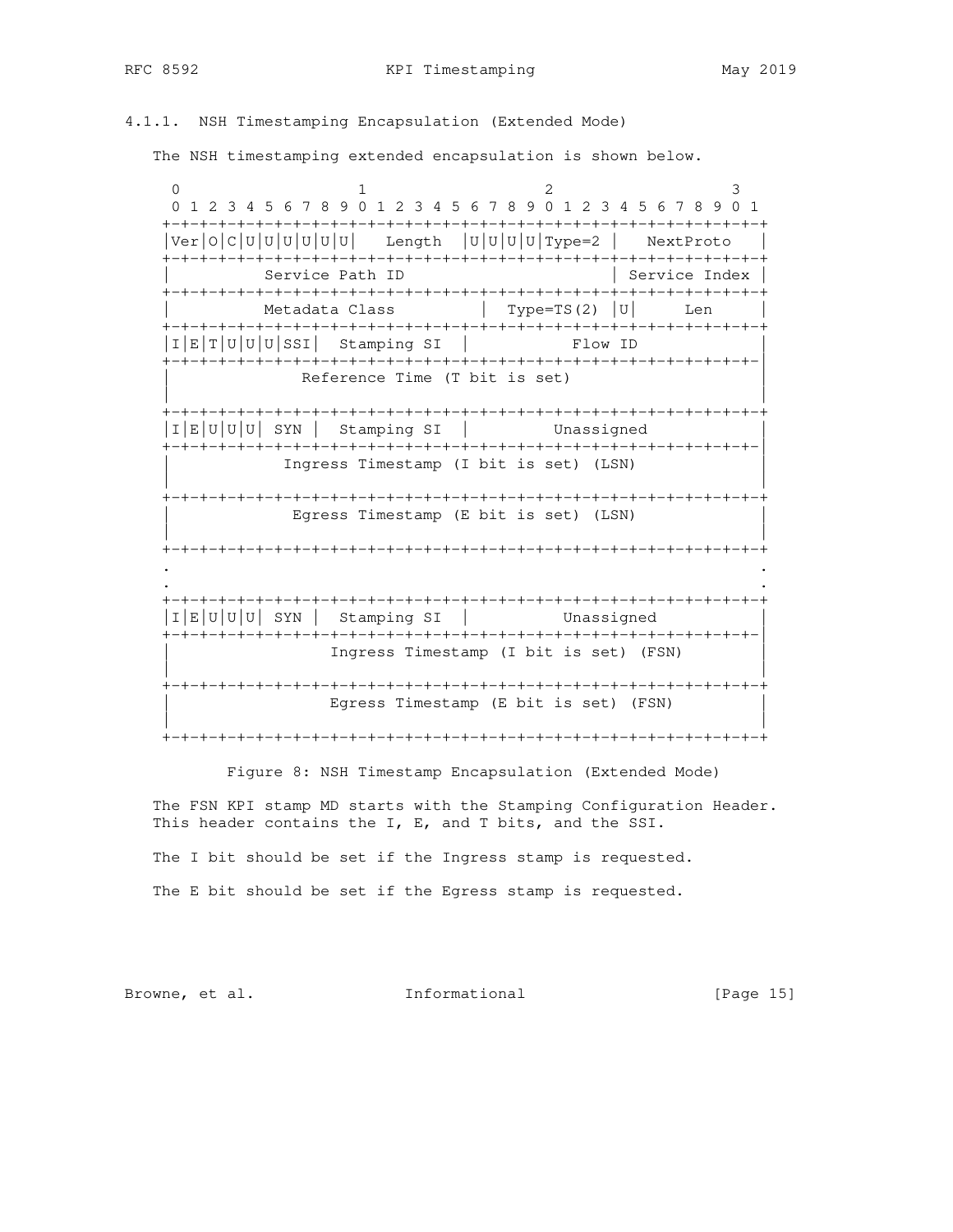# 4.1.1. NSH Timestamping Encapsulation (Extended Mode)

The NSH timestamping extended encapsulation is shown below.

 $0$  1 2 3 0 1 2 3 4 5 6 7 8 9 0 1 2 3 4 5 6 7 8 9 0 1 2 3 4 5 6 7 8 9 0 1 +-+-+-+-+-+-+-+-+-+-+-+-+-+-+-+-+-+-+-+-+-+-+-+-+-+-+-+-+-+-+-+-+  $|Var|\circ|C|U|U|U|U|U|$  Length  $|U|U|U|Type=2$  NextProto | +-+-+-+-+-+-+-+-+-+-+-+-+-+-+-+-+-+-+-+-+-+-+-+-+-+-+-+-+-+-+-+-+ | Service Path ID | Service Index | +-+-+-+-+-+-+-+-+-+-+-+-+-+-+-+-+-+-+-+-+-+-+-+-+-+-+-+-+-+-+-+-+ Metadata Class | Type=TS(2) |U| Len | +-+-+-+-+-+-+-+-+-+-+-+-+-+-+-+-+-+-+-+-+-+-+-+-+-+-+-+-+-+-+-+-+  $|I|E|T|U|U|SSI$  Stamping SI | Flow ID +-+-+-+-+-+-+-+-+-+-+-+-+-+-+-+-+-+-+-+-+-+-+-+-+-+-+-+-+-+-+-+-| Reference Time (T bit is set) | | +-+-+-+-+-+-+-+-+-+-+-+-+-+-+-+-+-+-+-+-+-+-+-+-+-+-+-+-+-+-+-+-+ |I|E|U|U|U| SYN | Stamping SI | Unassigned | +-+-+-+-+-+-+-+-+-+-+-+-+-+-+-+-+-+-+-+-+-+-+-+-+-+-+-+-+-+-+-+-| Ingress Timestamp (I bit is set) (LSN) | | +-+-+-+-+-+-+-+-+-+-+-+-+-+-+-+-+-+-+-+-+-+-+-+-+-+-+-+-+-+-+-+-+ Egress Timestamp (E bit is set) (LSN) | | +-+-+-+-+-+-+-+-+-+-+-+-+-+-+-+-+-+-+-+-+-+-+-+-+-+-+-+-+-+-+-+-+ . . . . +-+-+-+-+-+-+-+-+-+-+-+-+-+-+-+-+-+-+-+-+-+-+-+-+-+-+-+-+-+-+-+-+ |I|E|U|U|U| SYN | Stamping SI | Unassigned | +-+-+-+-+-+-+-+-+-+-+-+-+-+-+-+-+-+-+-+-+-+-+-+-+-+-+-+-+-+-+-+-| Ingress Timestamp (I bit is set) (FSN) | | +-+-+-+-+-+-+-+-+-+-+-+-+-+-+-+-+-+-+-+-+-+-+-+-+-+-+-+-+-+-+-+-+ Egress Timestamp (E bit is set) (FSN) | | +-+-+-+-+-+-+-+-+-+-+-+-+-+-+-+-+-+-+-+-+-+-+-+-+-+-+-+-+-+-+-+-+

Figure 8: NSH Timestamp Encapsulation (Extended Mode)

 The FSN KPI stamp MD starts with the Stamping Configuration Header. This header contains the I, E, and T bits, and the SSI.

The I bit should be set if the Ingress stamp is requested.

The E bit should be set if the Egress stamp is requested.

Browne, et al. 1nformational [Page 15]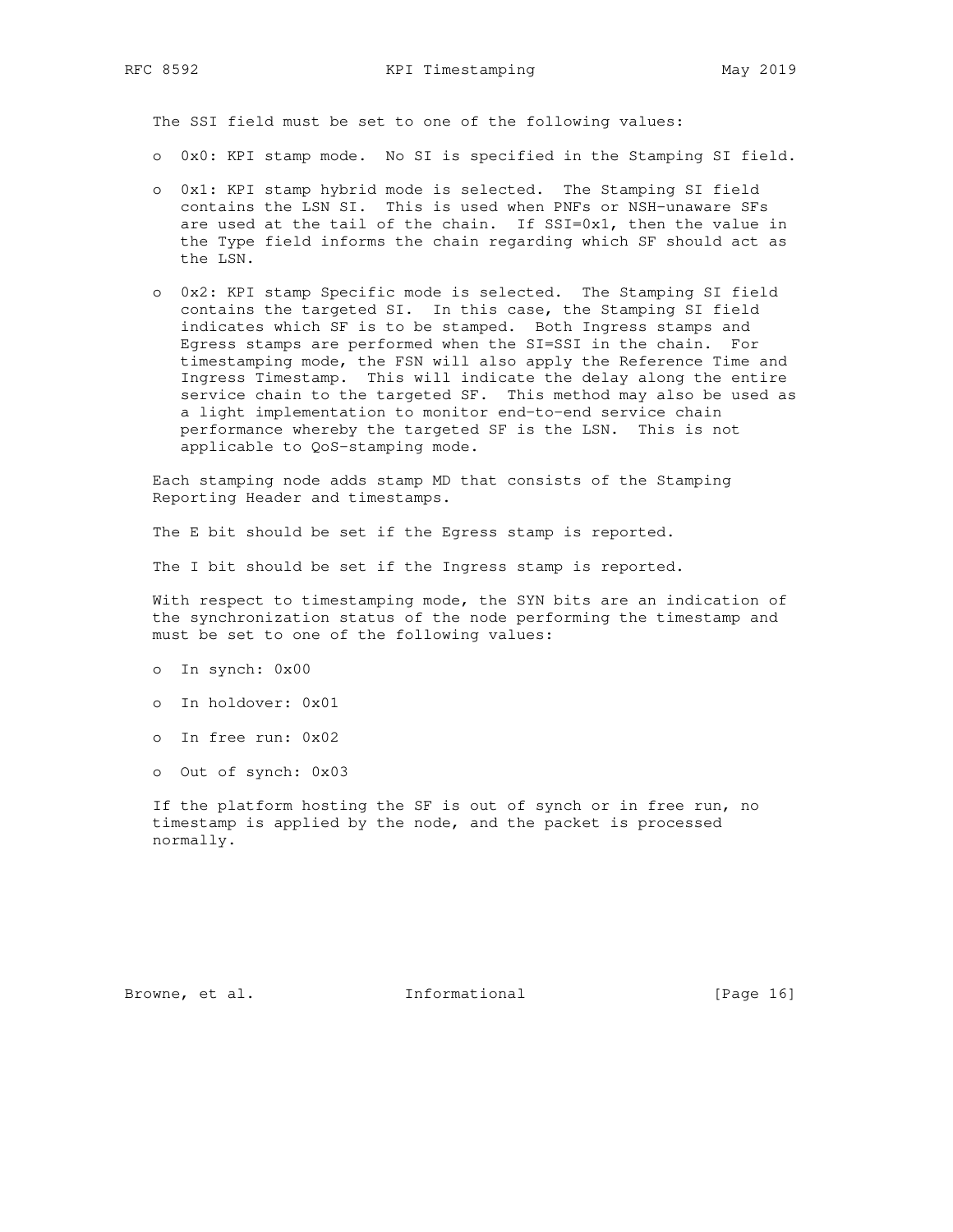The SSI field must be set to one of the following values:

- o 0x0: KPI stamp mode. No SI is specified in the Stamping SI field.
- o 0x1: KPI stamp hybrid mode is selected. The Stamping SI field contains the LSN SI. This is used when PNFs or NSH-unaware SFs are used at the tail of the chain. If SSI=0x1, then the value in the Type field informs the chain regarding which SF should act as the LSN.
- o 0x2: KPI stamp Specific mode is selected. The Stamping SI field contains the targeted SI. In this case, the Stamping SI field indicates which SF is to be stamped. Both Ingress stamps and Egress stamps are performed when the SI=SSI in the chain. For timestamping mode, the FSN will also apply the Reference Time and Ingress Timestamp. This will indicate the delay along the entire service chain to the targeted SF. This method may also be used as a light implementation to monitor end-to-end service chain performance whereby the targeted SF is the LSN. This is not applicable to QoS-stamping mode.

 Each stamping node adds stamp MD that consists of the Stamping Reporting Header and timestamps.

The E bit should be set if the Egress stamp is reported.

The I bit should be set if the Ingress stamp is reported.

 With respect to timestamping mode, the SYN bits are an indication of the synchronization status of the node performing the timestamp and must be set to one of the following values:

- o In synch: 0x00
- o In holdover: 0x01
- o In free run: 0x02
- o Out of synch: 0x03

 If the platform hosting the SF is out of synch or in free run, no timestamp is applied by the node, and the packet is processed normally.

Browne, et al. 10 Informational 10 [Page 16]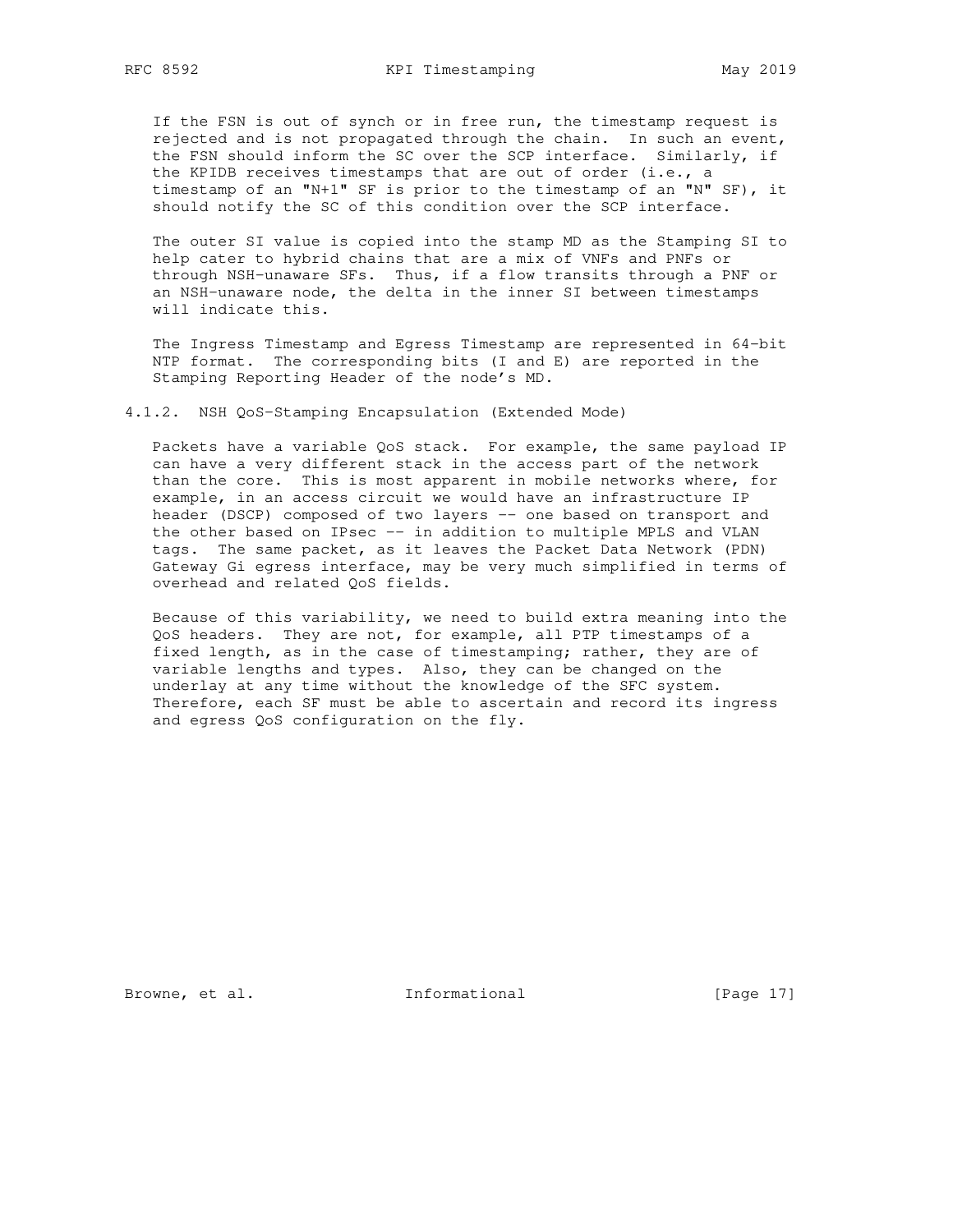If the FSN is out of synch or in free run, the timestamp request is rejected and is not propagated through the chain. In such an event, the FSN should inform the SC over the SCP interface. Similarly, if the KPIDB receives timestamps that are out of order (i.e., a timestamp of an "N+1" SF is prior to the timestamp of an "N" SF), it should notify the SC of this condition over the SCP interface.

 The outer SI value is copied into the stamp MD as the Stamping SI to help cater to hybrid chains that are a mix of VNFs and PNFs or through NSH-unaware SFs. Thus, if a flow transits through a PNF or an NSH-unaware node, the delta in the inner SI between timestamps will indicate this.

 The Ingress Timestamp and Egress Timestamp are represented in 64-bit NTP format. The corresponding bits (I and E) are reported in the Stamping Reporting Header of the node's MD.

4.1.2. NSH QoS-Stamping Encapsulation (Extended Mode)

 Packets have a variable QoS stack. For example, the same payload IP can have a very different stack in the access part of the network than the core. This is most apparent in mobile networks where, for example, in an access circuit we would have an infrastructure IP header (DSCP) composed of two layers -- one based on transport and the other based on IPsec -- in addition to multiple MPLS and VLAN tags. The same packet, as it leaves the Packet Data Network (PDN) Gateway Gi egress interface, may be very much simplified in terms of overhead and related QoS fields.

 Because of this variability, we need to build extra meaning into the QoS headers. They are not, for example, all PTP timestamps of a fixed length, as in the case of timestamping; rather, they are of variable lengths and types. Also, they can be changed on the underlay at any time without the knowledge of the SFC system. Therefore, each SF must be able to ascertain and record its ingress and egress QoS configuration on the fly.

Browne, et al. 1nformational [Page 17]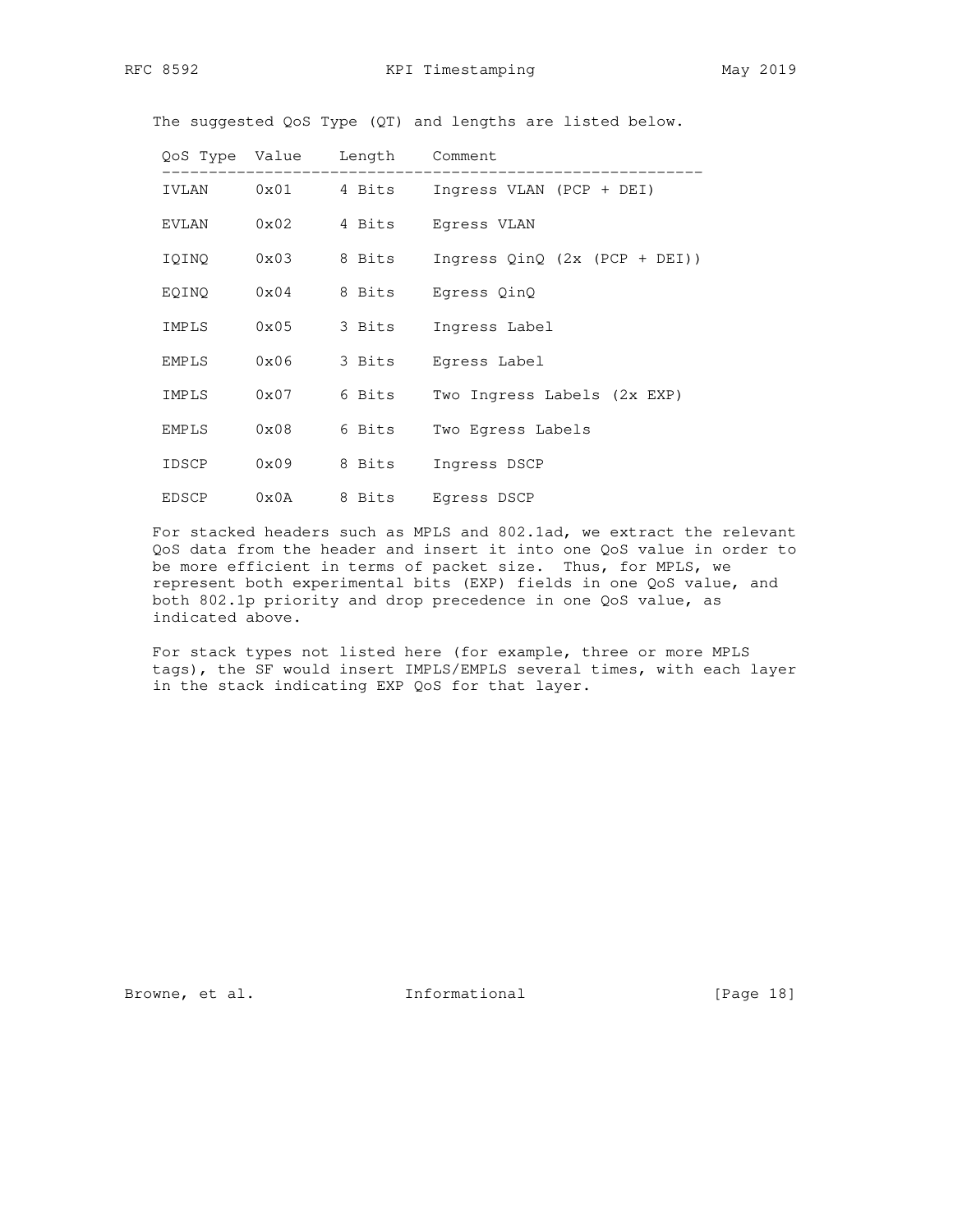The suggested QoS Type (QT) and lengths are listed below.

| QoS Type Value |               | Length | Comment                         |
|----------------|---------------|--------|---------------------------------|
| IVLAN          | 0x01          | 4 Bits | Ingress VLAN (PCP + DEI)        |
| EVLAN          | $0 \times 02$ | 4 Bits | Eqress VLAN                     |
| IQINQ          | 0x03          | 8 Bits | Ingress $QinQ$ (2x (PCP + DEI)) |
| EOINO          | $0 \times 04$ | 8 Bits | Egress QinQ                     |
| IMPLS          | 0x05          | 3 Bits | Ingress Label                   |
| EMPLS          | $0 \times 06$ | 3 Bits | Egress Label                    |
| IMPLS          | $0 \times 07$ | 6 Bits | Two Ingress Labels (2x EXP)     |
| EMPLS          | 0x08          | 6 Bits | Two Eqress Labels               |
| IDSCP          | 0x09          | 8 Bits | Ingress DSCP                    |
| EDSCP          | 0x0A          | 8 Bits | Eqress DSCP                     |

 For stacked headers such as MPLS and 802.1ad, we extract the relevant QoS data from the header and insert it into one QoS value in order to be more efficient in terms of packet size. Thus, for MPLS, we represent both experimental bits (EXP) fields in one QoS value, and both 802.1p priority and drop precedence in one QoS value, as indicated above.

 For stack types not listed here (for example, three or more MPLS tags), the SF would insert IMPLS/EMPLS several times, with each layer in the stack indicating EXP QoS for that layer.

Browne, et al. 1nformational [Page 18]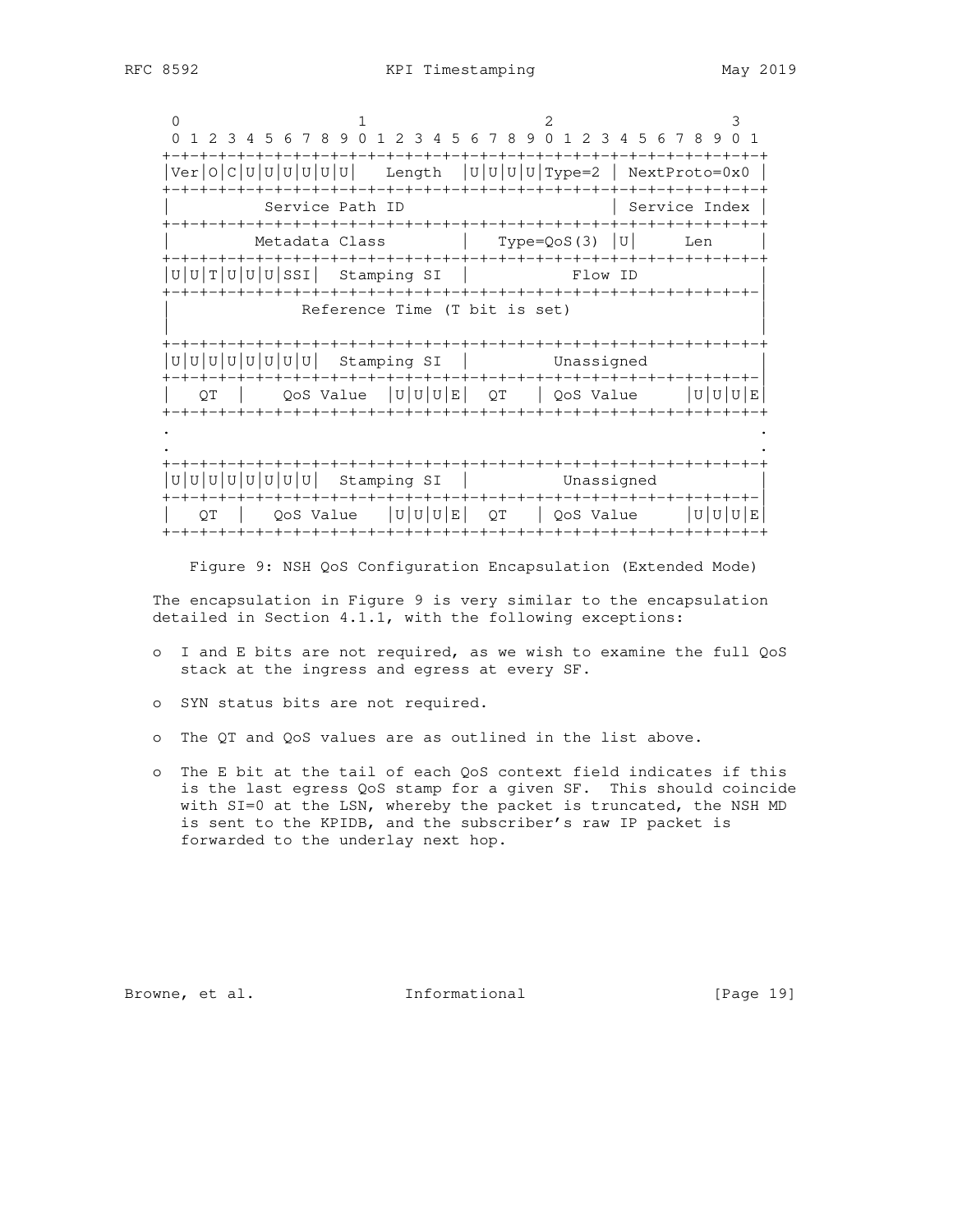| $\Omega$<br>$1 \t2$ | 3 4 5 6 7 8 9 0 1 2 3 4 5 6 7 8 9 0 1 2 3 4 5 6 7 8 9 0 1       | 2                                                     | 3                                          |  |  |  |  |  |  |  |
|---------------------|-----------------------------------------------------------------|-------------------------------------------------------|--------------------------------------------|--|--|--|--|--|--|--|
|                     | Ver 0 C U U U U U U                                             | Length  U U U U Type=2  <br>·+-+-+-+-+-+-+-+-+-+-+-+- | -+-+-+-+-+<br>NextProto=0x0<br>-+-+-+-+-+- |  |  |  |  |  |  |  |
|                     | Service Path ID                                                 |                                                       | Service Index                              |  |  |  |  |  |  |  |
|                     | Metadata Class                                                  | $Type=QoS(3)$                                         | U <br>Len                                  |  |  |  |  |  |  |  |
|                     | U U T U U U SSI <br>Stamping SI                                 | Flow ID                                               |                                            |  |  |  |  |  |  |  |
|                     | Reference Time (T bit is set)                                   |                                                       |                                            |  |  |  |  |  |  |  |
|                     | U U U U U U U U  Stamping SI                                    | Unassigned                                            |                                            |  |  |  |  |  |  |  |
| QT                  | QoS Value $ U U E $ QT   QoS Value<br>+-+-+-+-+-+-+-+-+-+-+-+-+ | -+-+-+-+-+-+-+-+-+-+-+-+-+-+-                         | U U U E                                    |  |  |  |  |  |  |  |
|                     |                                                                 |                                                       |                                            |  |  |  |  |  |  |  |
| UUUUUU              | Stamping SI<br>ΠI<br>UΙ<br>τı                                   | Unassigned                                            |                                            |  |  |  |  |  |  |  |
| ОT                  | U U U E <br>OoS Value                                           | QoS Value<br>QT                                       | UUI<br>U                                   |  |  |  |  |  |  |  |

Figure 9: NSH QoS Configuration Encapsulation (Extended Mode)

 The encapsulation in Figure 9 is very similar to the encapsulation detailed in Section 4.1.1, with the following exceptions:

- o I and E bits are not required, as we wish to examine the full QoS stack at the ingress and egress at every SF.
- o SYN status bits are not required.
- o The QT and QoS values are as outlined in the list above.
- o The E bit at the tail of each QoS context field indicates if this is the last egress QoS stamp for a given SF. This should coincide with SI=0 at the LSN, whereby the packet is truncated, the NSH MD is sent to the KPIDB, and the subscriber's raw IP packet is forwarded to the underlay next hop.

Browne, et al. 1nformational [Page 19]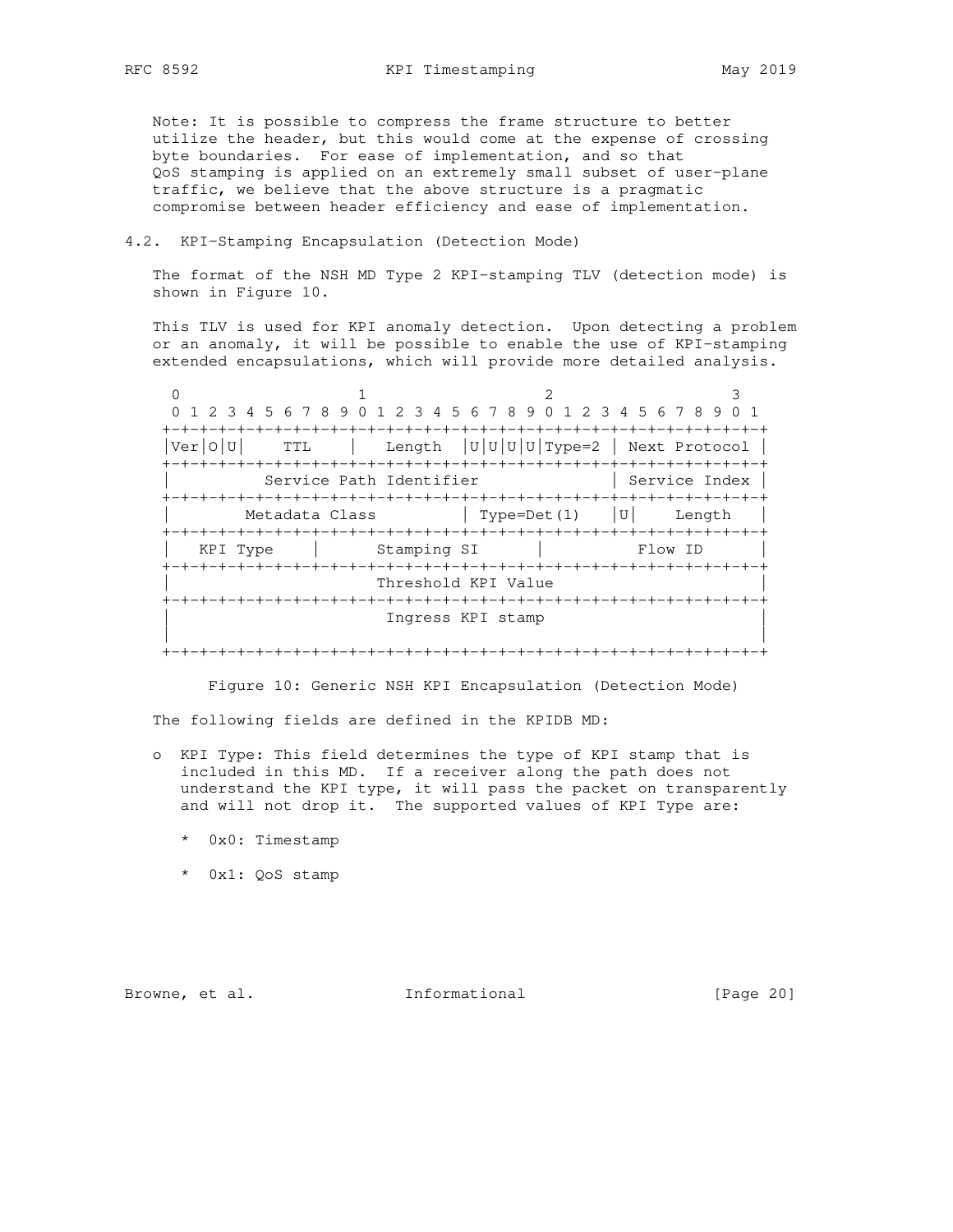Note: It is possible to compress the frame structure to better utilize the header, but this would come at the expense of crossing byte boundaries. For ease of implementation, and so that QoS stamping is applied on an extremely small subset of user-plane traffic, we believe that the above structure is a pragmatic compromise between header efficiency and ease of implementation.

### 4.2. KPI-Stamping Encapsulation (Detection Mode)

 The format of the NSH MD Type 2 KPI-stamping TLV (detection mode) is shown in Figure 10.

 This TLV is used for KPI anomaly detection. Upon detecting a problem or an anomaly, it will be possible to enable the use of KPI-stamping extended encapsulations, which will provide more detailed analysis.

|          | 1 2 3 4 5 6 7 8 9 0 1 2 3 4 5 6 7 8 9 0 1 2 3 4 5 6 7 8 9 0 1 |             |  |  |         |  |  |  |  |  |  |  |
|----------|---------------------------------------------------------------|-------------|--|--|---------|--|--|--|--|--|--|--|
| Ver O U  | TTL   Length  U U U U Type=2   Next Protocol                  |             |  |  |         |  |  |  |  |  |  |  |
|          | Service Path Identifier<br>Service Index                      |             |  |  |         |  |  |  |  |  |  |  |
|          | Metadata Class $  \text{Type=Det}(1)   \text{U} $ Length      |             |  |  |         |  |  |  |  |  |  |  |
| KPI Type |                                                               | Stamping SI |  |  | Flow ID |  |  |  |  |  |  |  |
|          | Threshold KPI Value                                           |             |  |  |         |  |  |  |  |  |  |  |
|          | Ingress KPI stamp                                             |             |  |  |         |  |  |  |  |  |  |  |
|          |                                                               |             |  |  |         |  |  |  |  |  |  |  |

Figure 10: Generic NSH KPI Encapsulation (Detection Mode)

The following fields are defined in the KPIDB MD:

- o KPI Type: This field determines the type of KPI stamp that is included in this MD. If a receiver along the path does not understand the KPI type, it will pass the packet on transparently and will not drop it. The supported values of KPI Type are:
	- \* 0x0: Timestamp
	- \* 0x1: QoS stamp

Browne, et al. 1nformational [Page 20]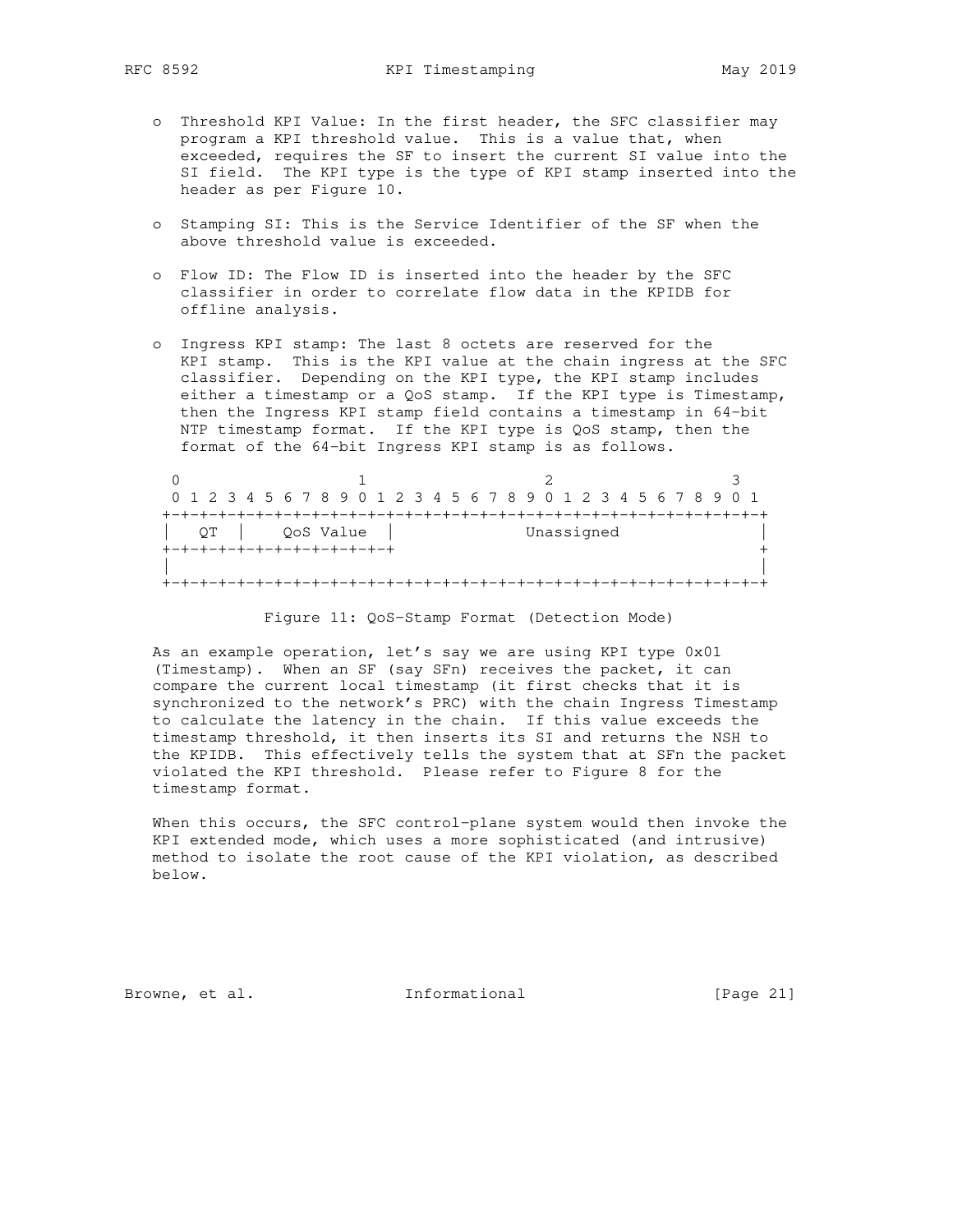- o Threshold KPI Value: In the first header, the SFC classifier may program a KPI threshold value. This is a value that, when exceeded, requires the SF to insert the current SI value into the SI field. The KPI type is the type of KPI stamp inserted into the header as per Figure 10.
- o Stamping SI: This is the Service Identifier of the SF when the above threshold value is exceeded.
- o Flow ID: The Flow ID is inserted into the header by the SFC classifier in order to correlate flow data in the KPIDB for offline analysis.
- o Ingress KPI stamp: The last 8 octets are reserved for the KPI stamp. This is the KPI value at the chain ingress at the SFC classifier. Depending on the KPI type, the KPI stamp includes either a timestamp or a QoS stamp. If the KPI type is Timestamp, then the Ingress KPI stamp field contains a timestamp in 64-bit NTP timestamp format. If the KPI type is QoS stamp, then the format of the 64-bit Ingress KPI stamp is as follows.

 $0$  1 2 3 0 1 2 3 4 5 6 7 8 9 0 1 2 3 4 5 6 7 8 9 0 1 2 3 4 5 6 7 8 9 0 1 +-+-+-+-+-+-+-+-+-+-+-+-+-+-+-+-+-+-+-+-+-+-+-+-+-+-+-+-+-+-+-+-+ | QT | QoS Value | Unassigned | +-+-+-+-+-+-+-+-+-+-+-+-+ + | | +-+-+-+-+-+-+-+-+-+-+-+-+-+-+-+-+-+-+-+-+-+-+-+-+-+-+-+-+-+-+-+-+

Figure 11: QoS-Stamp Format (Detection Mode)

 As an example operation, let's say we are using KPI type 0x01 (Timestamp). When an SF (say SFn) receives the packet, it can compare the current local timestamp (it first checks that it is synchronized to the network's PRC) with the chain Ingress Timestamp to calculate the latency in the chain. If this value exceeds the timestamp threshold, it then inserts its SI and returns the NSH to the KPIDB. This effectively tells the system that at SFn the packet violated the KPI threshold. Please refer to Figure 8 for the timestamp format.

 When this occurs, the SFC control-plane system would then invoke the KPI extended mode, which uses a more sophisticated (and intrusive) method to isolate the root cause of the KPI violation, as described below.

Browne, et al. 1nformational 1999 [Page 21]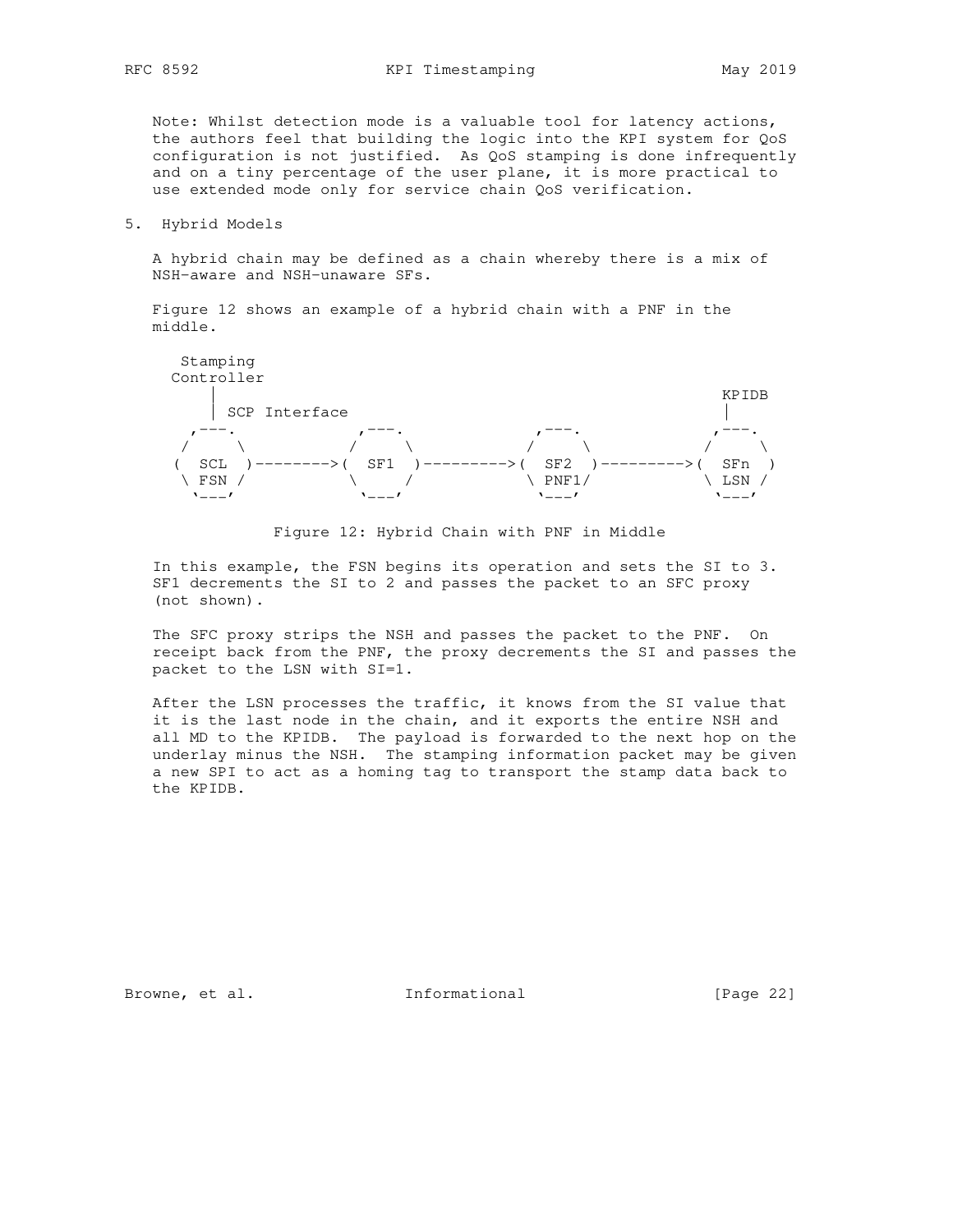Note: Whilst detection mode is a valuable tool for latency actions, the authors feel that building the logic into the KPI system for QoS configuration is not justified. As QoS stamping is done infrequently and on a tiny percentage of the user plane, it is more practical to use extended mode only for service chain QoS verification.

### 5. Hybrid Models

 A hybrid chain may be defined as a chain whereby there is a mix of NSH-aware and NSH-unaware SFs.

 Figure 12 shows an example of a hybrid chain with a PNF in the middle.



Figure 12: Hybrid Chain with PNF in Middle

 In this example, the FSN begins its operation and sets the SI to 3. SF1 decrements the SI to 2 and passes the packet to an SFC proxy (not shown).

 The SFC proxy strips the NSH and passes the packet to the PNF. On receipt back from the PNF, the proxy decrements the SI and passes the packet to the LSN with SI=1.

 After the LSN processes the traffic, it knows from the SI value that it is the last node in the chain, and it exports the entire NSH and all MD to the KPIDB. The payload is forwarded to the next hop on the underlay minus the NSH. The stamping information packet may be given a new SPI to act as a homing tag to transport the stamp data back to the KPIDB.

Browne, et al. 1nformational [Page 22]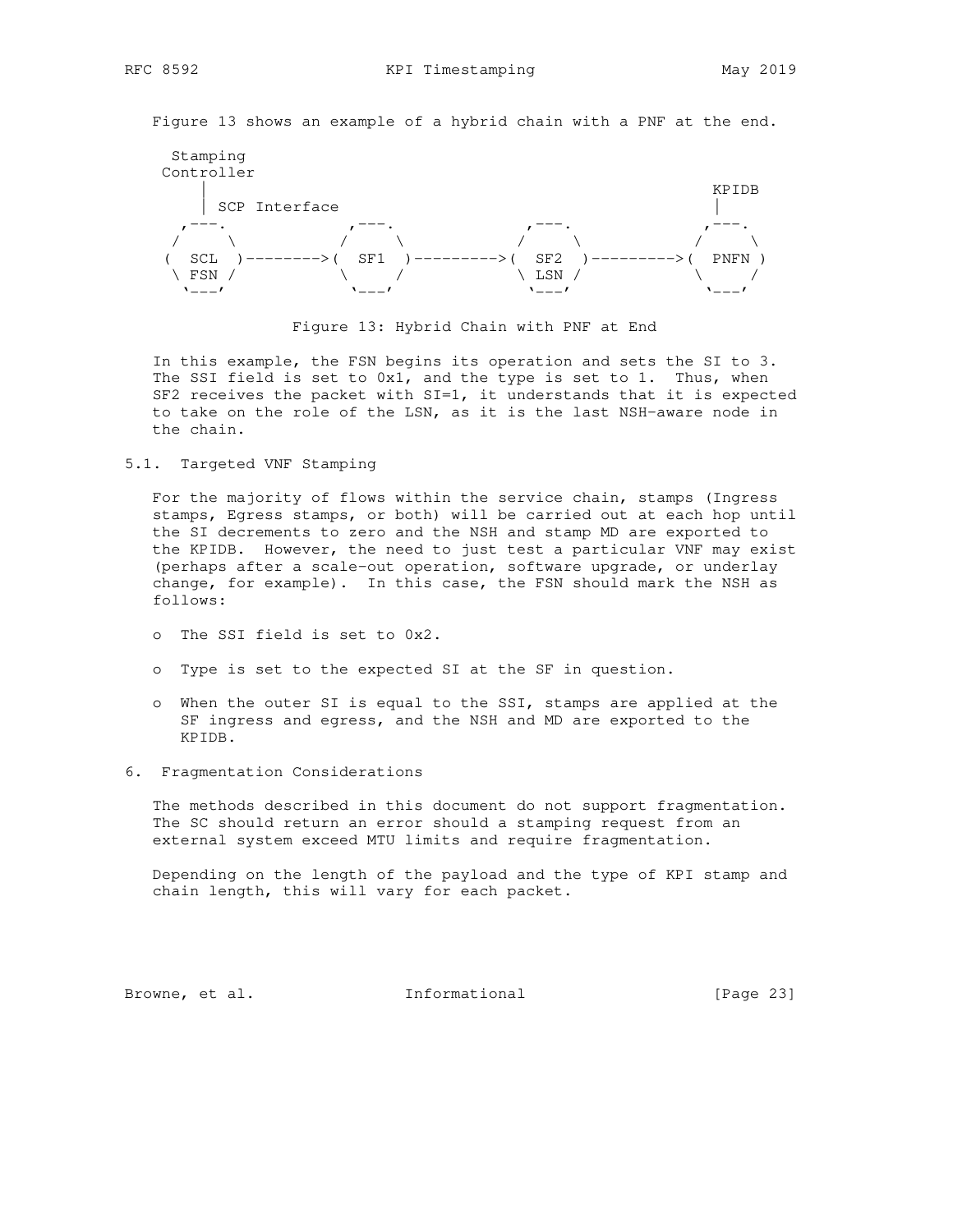Figure 13 shows an example of a hybrid chain with a PNF at the end.



Figure 13: Hybrid Chain with PNF at End

 In this example, the FSN begins its operation and sets the SI to 3. The SSI field is set to 0x1, and the type is set to 1. Thus, when SF2 receives the packet with SI=1, it understands that it is expected to take on the role of the LSN, as it is the last NSH-aware node in the chain.

5.1. Targeted VNF Stamping

 For the majority of flows within the service chain, stamps (Ingress stamps, Egress stamps, or both) will be carried out at each hop until the SI decrements to zero and the NSH and stamp MD are exported to the KPIDB. However, the need to just test a particular VNF may exist (perhaps after a scale-out operation, software upgrade, or underlay change, for example). In this case, the FSN should mark the NSH as follows:

- o The SSI field is set to 0x2.
- o Type is set to the expected SI at the SF in question.
- o When the outer SI is equal to the SSI, stamps are applied at the SF ingress and egress, and the NSH and MD are exported to the KPIDB.
- 6. Fragmentation Considerations

 The methods described in this document do not support fragmentation. The SC should return an error should a stamping request from an external system exceed MTU limits and require fragmentation.

 Depending on the length of the payload and the type of KPI stamp and chain length, this will vary for each packet.

Browne, et al. 1nformational [Page 23]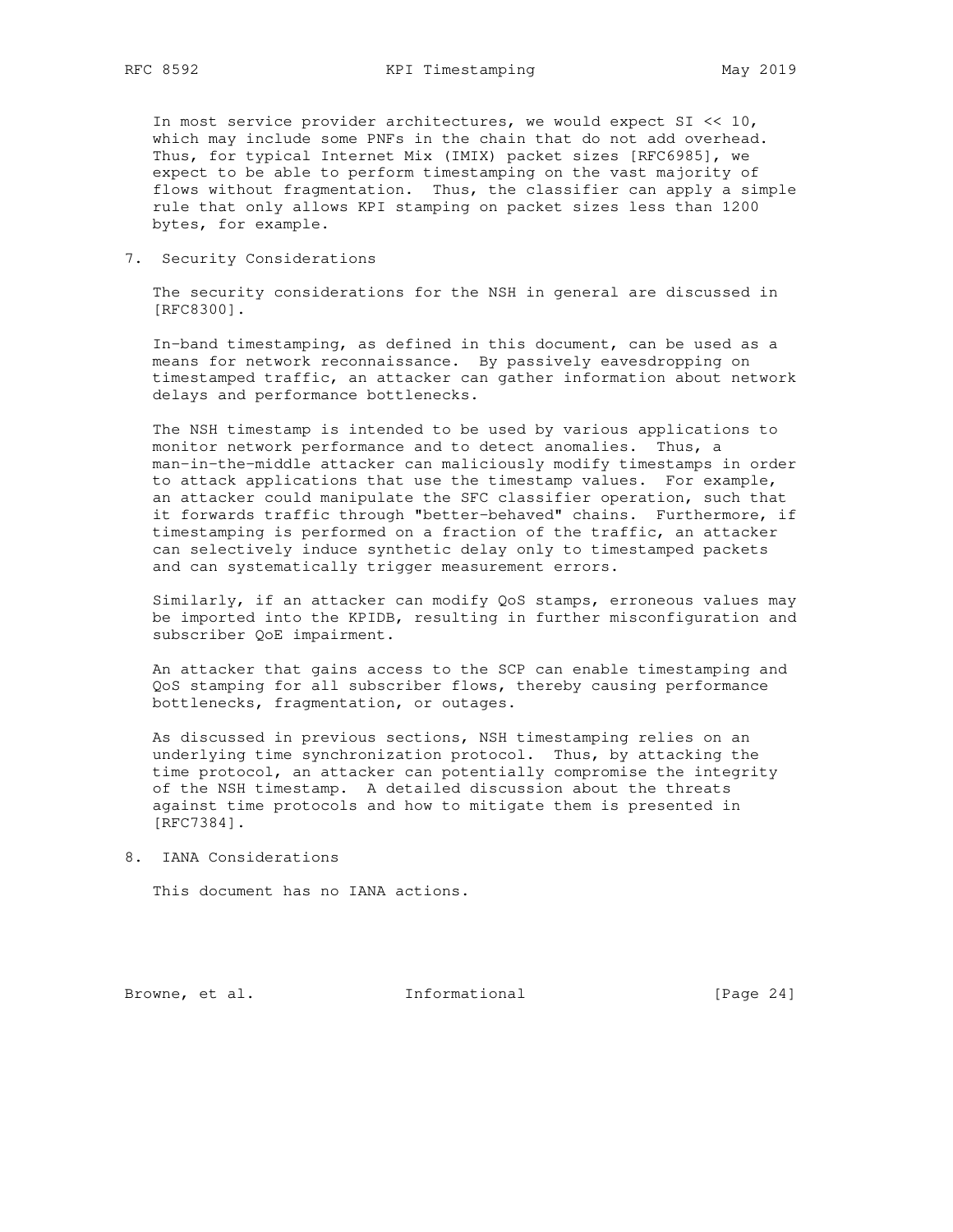In most service provider architectures, we would expect SI << 10, which may include some PNFs in the chain that do not add overhead. Thus, for typical Internet Mix (IMIX) packet sizes [RFC6985], we expect to be able to perform timestamping on the vast majority of flows without fragmentation. Thus, the classifier can apply a simple rule that only allows KPI stamping on packet sizes less than 1200 bytes, for example.

7. Security Considerations

 The security considerations for the NSH in general are discussed in [RFC8300].

 In-band timestamping, as defined in this document, can be used as a means for network reconnaissance. By passively eavesdropping on timestamped traffic, an attacker can gather information about network delays and performance bottlenecks.

 The NSH timestamp is intended to be used by various applications to monitor network performance and to detect anomalies. Thus, a man-in-the-middle attacker can maliciously modify timestamps in order to attack applications that use the timestamp values. For example, an attacker could manipulate the SFC classifier operation, such that it forwards traffic through "better-behaved" chains. Furthermore, if timestamping is performed on a fraction of the traffic, an attacker can selectively induce synthetic delay only to timestamped packets and can systematically trigger measurement errors.

 Similarly, if an attacker can modify QoS stamps, erroneous values may be imported into the KPIDB, resulting in further misconfiguration and subscriber QoE impairment.

 An attacker that gains access to the SCP can enable timestamping and QoS stamping for all subscriber flows, thereby causing performance bottlenecks, fragmentation, or outages.

 As discussed in previous sections, NSH timestamping relies on an underlying time synchronization protocol. Thus, by attacking the time protocol, an attacker can potentially compromise the integrity of the NSH timestamp. A detailed discussion about the threats against time protocols and how to mitigate them is presented in [RFC7384].

8. IANA Considerations

This document has no IANA actions.

Browne, et al. 1nformational [Page 24]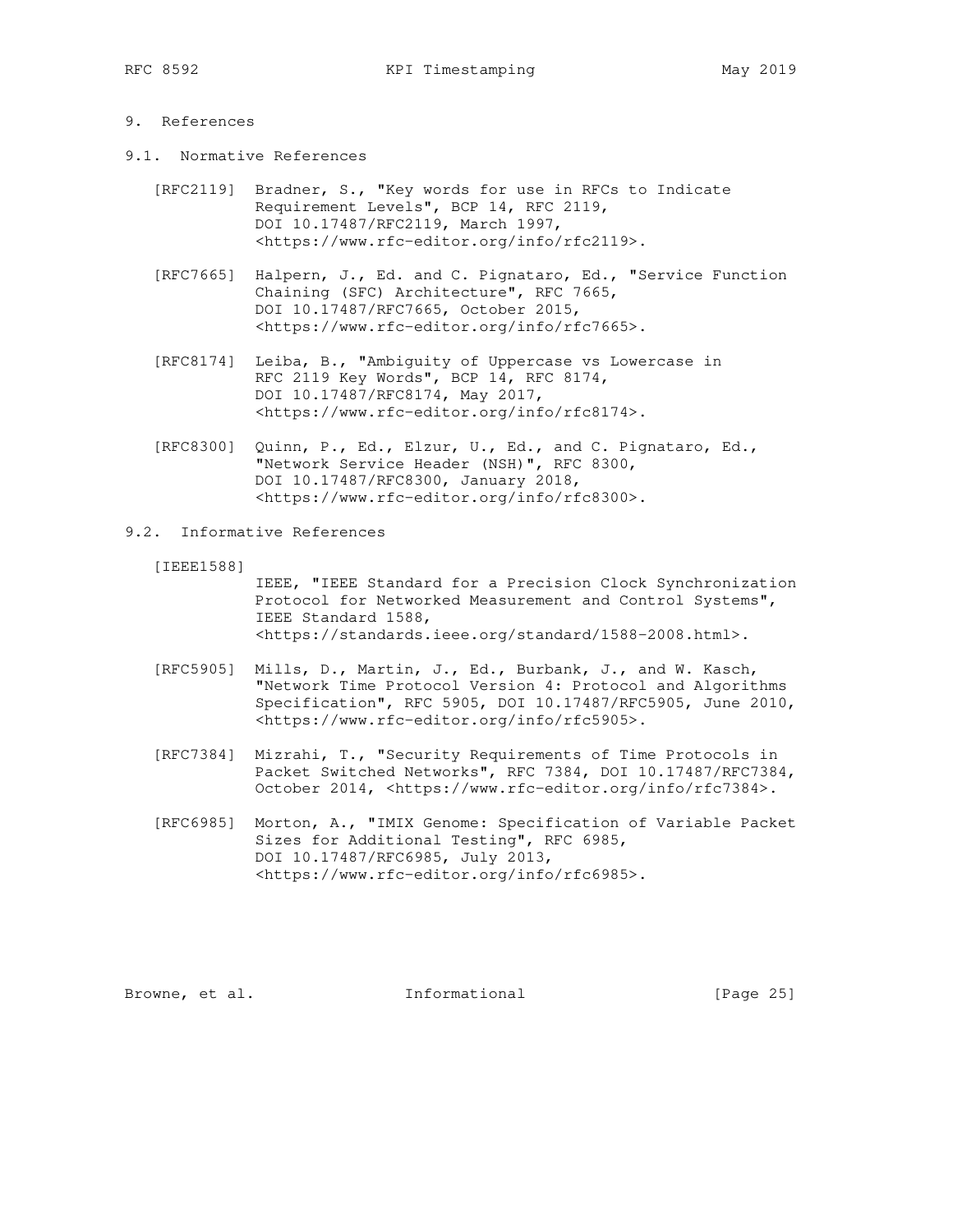## 9. References

- 9.1. Normative References
	- [RFC2119] Bradner, S., "Key words for use in RFCs to Indicate Requirement Levels", BCP 14, RFC 2119, DOI 10.17487/RFC2119, March 1997, <https://www.rfc-editor.org/info/rfc2119>.
	- [RFC7665] Halpern, J., Ed. and C. Pignataro, Ed., "Service Function Chaining (SFC) Architecture", RFC 7665, DOI 10.17487/RFC7665, October 2015, <https://www.rfc-editor.org/info/rfc7665>.
	- [RFC8174] Leiba, B., "Ambiguity of Uppercase vs Lowercase in RFC 2119 Key Words", BCP 14, RFC 8174, DOI 10.17487/RFC8174, May 2017, <https://www.rfc-editor.org/info/rfc8174>.
	- [RFC8300] Quinn, P., Ed., Elzur, U., Ed., and C. Pignataro, Ed., "Network Service Header (NSH)", RFC 8300, DOI 10.17487/RFC8300, January 2018, <https://www.rfc-editor.org/info/rfc8300>.
- 9.2. Informative References

[IEEE1588]

 IEEE, "IEEE Standard for a Precision Clock Synchronization Protocol for Networked Measurement and Control Systems", IEEE Standard 1588, <https://standards.ieee.org/standard/1588-2008.html>.

- [RFC5905] Mills, D., Martin, J., Ed., Burbank, J., and W. Kasch, "Network Time Protocol Version 4: Protocol and Algorithms Specification", RFC 5905, DOI 10.17487/RFC5905, June 2010, <https://www.rfc-editor.org/info/rfc5905>.
- [RFC7384] Mizrahi, T., "Security Requirements of Time Protocols in Packet Switched Networks", RFC 7384, DOI 10.17487/RFC7384, October 2014, <https://www.rfc-editor.org/info/rfc7384>.
- [RFC6985] Morton, A., "IMIX Genome: Specification of Variable Packet Sizes for Additional Testing", RFC 6985, DOI 10.17487/RFC6985, July 2013, <https://www.rfc-editor.org/info/rfc6985>.

Browne, et al. 10 Informational 1999 [Page 25]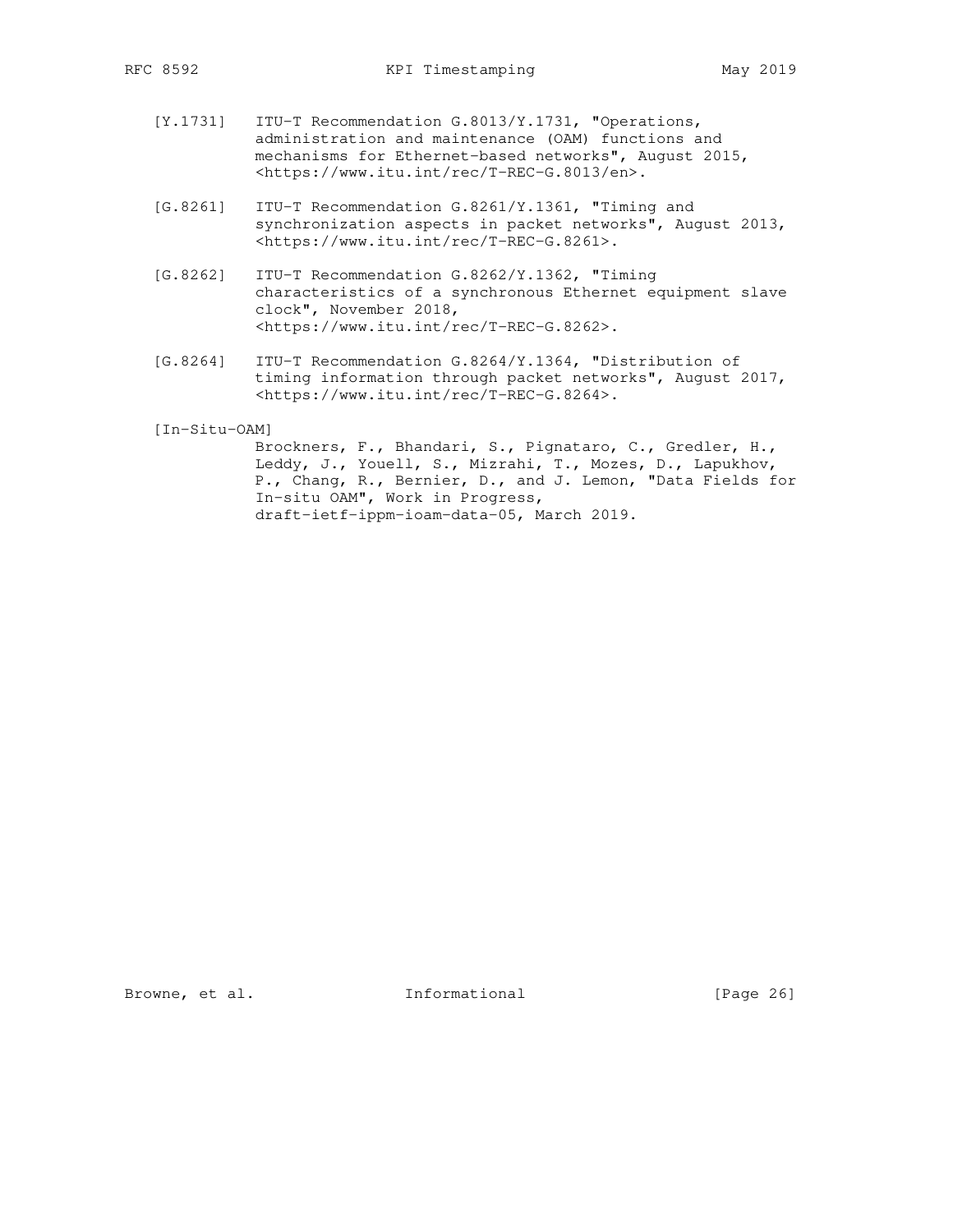- [Y.1731] ITU-T Recommendation G.8013/Y.1731, "Operations, administration and maintenance (OAM) functions and mechanisms for Ethernet-based networks", August 2015, <https://www.itu.int/rec/T-REC-G.8013/en>.
- [G.8261] ITU-T Recommendation G.8261/Y.1361, "Timing and synchronization aspects in packet networks", August 2013, <https://www.itu.int/rec/T-REC-G.8261>.
- [G.8262] ITU-T Recommendation G.8262/Y.1362, "Timing characteristics of a synchronous Ethernet equipment slave clock", November 2018, <https://www.itu.int/rec/T-REC-G.8262>.
- [G.8264] ITU-T Recommendation G.8264/Y.1364, "Distribution of timing information through packet networks", August 2017, <https://www.itu.int/rec/T-REC-G.8264>.
- [In-Situ-OAM]

 Brockners, F., Bhandari, S., Pignataro, C., Gredler, H., Leddy, J., Youell, S., Mizrahi, T., Mozes, D., Lapukhov, P., Chang, R., Bernier, D., and J. Lemon, "Data Fields for In-situ OAM", Work in Progress, draft-ietf-ippm-ioam-data-05, March 2019.

Browne, et al. 1nformational [Page 26]